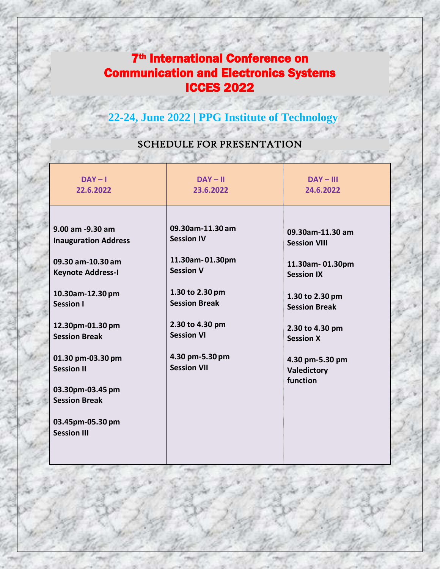## 7th International Conference on Communication and Electronics Systems ICCES 2022

 **22-24, June 2022 | PPG Institute of Technology**

## SCHEDULE FOR PRESENTATION

 $X \times$ 

| $DAY - I$<br>22.6.2022                                                                                                                                                                                                                                                                                               | $DAY - II$<br>23.6.2022                                                                                                                                                                                  | $DAY - III$<br>24.6.2022                                                                                                                                                                                        |
|----------------------------------------------------------------------------------------------------------------------------------------------------------------------------------------------------------------------------------------------------------------------------------------------------------------------|----------------------------------------------------------------------------------------------------------------------------------------------------------------------------------------------------------|-----------------------------------------------------------------------------------------------------------------------------------------------------------------------------------------------------------------|
| 9.00 am -9.30 am<br><b>Inauguration Address</b><br>09.30 am-10.30 am<br><b>Keynote Address-I</b><br>10.30am-12.30 pm<br><b>Session I</b><br>12.30pm-01.30 pm<br><b>Session Break</b><br>01.30 pm-03.30 pm<br><b>Session II</b><br>03.30pm-03.45 pm<br><b>Session Break</b><br>03.45pm-05.30 pm<br><b>Session III</b> | 09.30am-11.30 am<br><b>Session IV</b><br>11.30am-01.30pm<br><b>Session V</b><br>1.30 to 2.30 pm<br><b>Session Break</b><br>2.30 to 4.30 pm<br><b>Session VI</b><br>4.30 pm-5.30 pm<br><b>Session VII</b> | 09.30am-11.30 am<br><b>Session VIII</b><br>11.30am-01.30pm<br><b>Session IX</b><br>1.30 to 2.30 pm<br><b>Session Break</b><br>2.30 to 4.30 pm<br><b>Session X</b><br>4.30 pm-5.30 pm<br>Valedictory<br>function |
|                                                                                                                                                                                                                                                                                                                      |                                                                                                                                                                                                          |                                                                                                                                                                                                                 |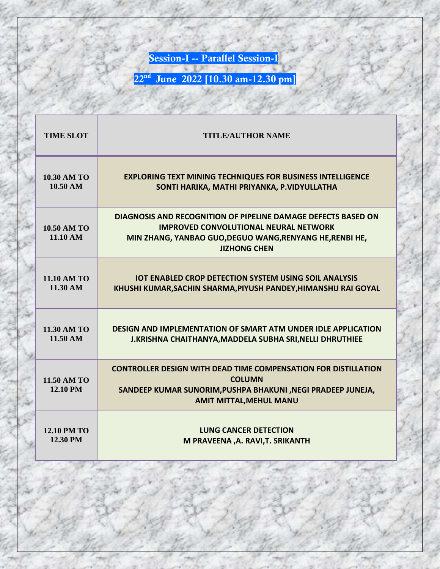**Session-I -- Parallel Session-I**

**22<sup>nd</sup> June 2022 [10.30 am-12.30 pm]** 

| <b>TIME SLOT</b>               | <b>TITLE/AUTHOR NAME</b>                                                                                                                                                                         |
|--------------------------------|--------------------------------------------------------------------------------------------------------------------------------------------------------------------------------------------------|
| <b>10.30 AM TO</b>             | <b>EXPLORING TEXT MINING TECHNIQUES FOR BUSINESS INTELLIGENCE</b>                                                                                                                                |
| 10.50 AM                       | SONTI HARIKA, MATHI PRIYANKA, P.VIDYULLATHA                                                                                                                                                      |
| <b>10.50 AM TO</b><br>11.10 AM | DIAGNOSIS AND RECOGNITION OF PIPELINE DAMAGE DEFECTS BASED ON<br><b>IMPROVED CONVOLUTIONAL NEURAL NETWORK</b><br>MIN ZHANG, YANBAO GUO, DEGUO WANG, RENYANG HE, RENBI HE,<br><b>JIZHONG CHEN</b> |
| <b>11.10 AM TO</b>             | <b>IOT ENABLED CROP DETECTION SYSTEM USING SOIL ANALYSIS</b>                                                                                                                                     |
| 11.30 AM                       | KHUSHI KUMAR, SACHIN SHARMA, PIYUSH PANDEY, HIMANSHU RAI GOYAL                                                                                                                                   |
| <b>11.30 AM TO</b>             | <b>DESIGN AND IMPLEMENTATION OF SMART ATM UNDER IDLE APPLICATION</b>                                                                                                                             |
| $11.50 \text{ AM}$             | J.KRISHNA CHAITHANYA, MADDELA SUBHA SRI, NELLI DHRUTHIEE                                                                                                                                         |
| 11.50 AM TO<br><b>12.10 PM</b> | <b>CONTROLLER DESIGN WITH DEAD TIME COMPENSATION FOR DISTILLATION</b><br><b>COLUMN</b><br>SANDEEP KUMAR SUNORIM, PUSHPA BHAKUNI, NEGI PRADEEP JUNEJA,<br><b>AMIT MITTAL, MEHUL MANU</b>          |
| <b>12.10 PM TO</b>             | <b>LUNG CANCER DETECTION</b>                                                                                                                                                                     |
| 12.30 PM                       | M PRAVEENA , A. RAVI, T. SRIKANTH                                                                                                                                                                |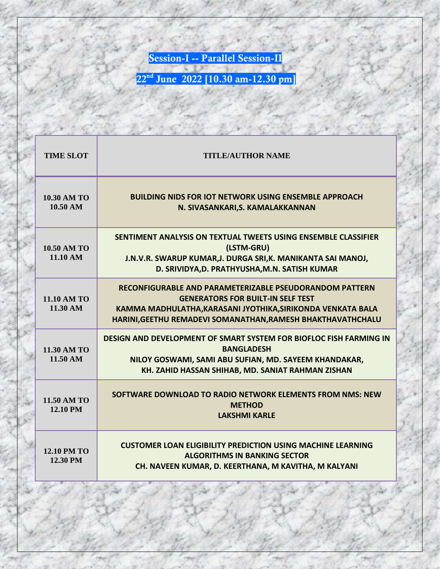**Session-I -- Parallel Session-II**

| <b>TIME SLOT</b>                      | <b>TITLE/AUTHOR NAME</b>                                                                                                                                                                                                          |
|---------------------------------------|-----------------------------------------------------------------------------------------------------------------------------------------------------------------------------------------------------------------------------------|
| <b>10.30 AM TO</b><br>10.50 AM        | <b>BUILDING NIDS FOR IOT NETWORK USING ENSEMBLE APPROACH</b><br>N. SIVASANKARI, S. KAMALAKKANNAN                                                                                                                                  |
| <b>10.50 AM TO</b><br>11.10 AM        | SENTIMENT ANALYSIS ON TEXTUAL TWEETS USING ENSEMBLE CLASSIFIER<br>(LSTM-GRU)<br>J.N.V.R. SWARUP KUMAR, J. DURGA SRI, K. MANIKANTA SAI MANOJ,<br>D. SRIVIDYA, D. PRATHYUSHA, M.N. SATISH KUMAR                                     |
| <b>11.10 AM TO</b><br>11.30 AM        | RECONFIGURABLE AND PARAMETERIZABLE PSEUDORANDOM PATTERN<br><b>GENERATORS FOR BUILT-IN SELF TEST</b><br>KAMMA MADHULATHA, KARASANI JYOTHIKA, SIRIKONDA VENKATA BALA<br>HARINI, GEETHU REMADEVI SOMANATHAN, RAMESH BHAKTHAVATHCHALU |
| 11.30 AM TO<br>11.50 AM               | <b>DESIGN AND DEVELOPMENT OF SMART SYSTEM FOR BIOFLOC FISH FARMING IN</b><br><b>BANGLADESH</b><br>NILOY GOSWAMI, SAMI ABU SUFIAN, MD. SAYEEM KHANDAKAR,<br>KH. ZAHID HASSAN SHIHAB, MD. SANIAT RAHMAN ZISHAN                      |
| 11.50 AM TO<br>12.10 PM               | SOFTWARE DOWNLOAD TO RADIO NETWORK ELEMENTS FROM NMS: NEW<br><b>METHOD</b><br><b>LAKSHMI KARLF</b>                                                                                                                                |
| <b>12.10 PM TO</b><br><b>12.30 PM</b> | <b>CUSTOMER LOAN ELIGIBILITY PREDICTION USING MACHINE LEARNING</b><br><b>ALGORITHMS IN BANKING SECTOR</b><br>CH. NAVEEN KUMAR, D. KEERTHANA, M KAVITHA, M KALYANI                                                                 |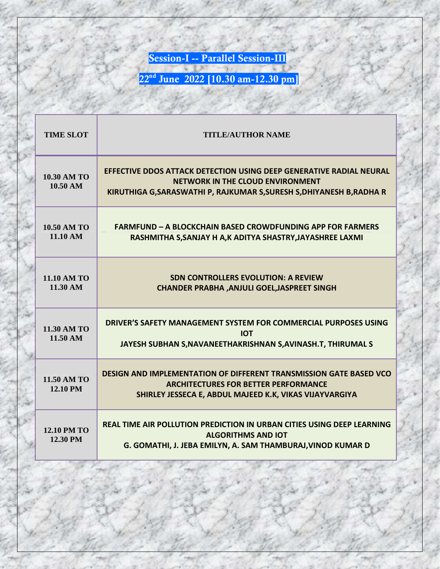**Session-I -- Parallel Session-III** 

| <b>TIME SLOT</b>               | <b>TITLE/AUTHOR NAME</b>                                                                                                                                                                |
|--------------------------------|-----------------------------------------------------------------------------------------------------------------------------------------------------------------------------------------|
| <b>10.30 AM TO</b><br>10.50 AM | EFFECTIVE DDOS ATTACK DETECTION USING DEEP GENERATIVE RADIAL NEURAL<br><b>NETWORK IN THE CLOUD ENVIRONMENT</b><br>KIRUTHIGA G, SARASWATHI P, RAJKUMAR S, SURESH S, DHIYANESH B, RADHA R |
| <b>10.50 AM TO</b><br>11.10 AM | <b>FARMFUND - A BLOCKCHAIN BASED CROWDFUNDING APP FOR FARMERS</b><br>RASHMITHA S, SANJAY H A, K ADITYA SHASTRY, JAYASHREE LAXMI                                                         |
| <b>11.10 AM TO</b><br>11.30 AM | <b>SDN CONTROLLERS EVOLUTION: A REVIEW</b><br><b>CHANDER PRABHA , ANJULI GOEL, JASPREET SINGH</b>                                                                                       |
| 11.30 AM TO<br>11.50 AM        | DRIVER'S SAFETY MANAGEMENT SYSTEM FOR COMMERCIAL PURPOSES USING<br><b>IOT</b><br>JAYESH SUBHAN S, NAVANEETHAKRISHNAN S, AVINASH.T, THIRUMAL S                                           |
| 11.50 AM TO<br>12.10 PM        | <b>DESIGN AND IMPLEMENTATION OF DIFFERENT TRANSMISSION GATE BASED VCO</b><br><b>ARCHITECTURES FOR BETTER PERFORMANCE</b><br>SHIRLEY JESSECA E, ABDUL MAJEED K.K, VIKAS VIJAYVARGIYA     |
| <b>12.10 PM TO</b><br>12.30 PM | <b>REAL TIME AIR POLLUTION PREDICTION IN URBAN CITIES USING DEEP LEARNING</b><br><b>ALGORITHMS AND IOT</b><br>G. GOMATHI, J. JEBA EMILYN, A. SAM THAMBURAJ, VINOD KUMAR D               |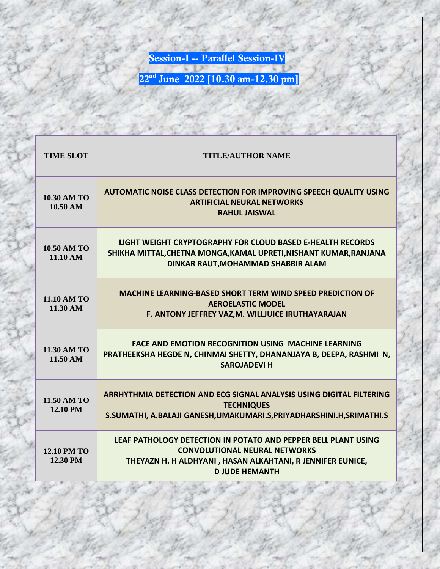**Session-I -- Parallel Session-IV**

| <b>TIME SLOT</b>               | <b>TITLE/AUTHOR NAME</b>                                                                                                                                                                      |
|--------------------------------|-----------------------------------------------------------------------------------------------------------------------------------------------------------------------------------------------|
| <b>10.30 AM TO</b><br>10.50 AM | <b>AUTOMATIC NOISE CLASS DETECTION FOR IMPROVING SPEECH QUALITY USING</b><br><b>ARTIFICIAL NEURAL NETWORKS</b><br><b>RAHUL JAISWAL</b>                                                        |
| <b>10.50 AM TO</b><br>11.10 AM | LIGHT WEIGHT CRYPTOGRAPHY FOR CLOUD BASED E-HEALTH RECORDS<br>SHIKHA MITTAL, CHETNA MONGA, KAMAL UPRETI, NISHANT KUMAR, RANJANA<br>DINKAR RAUT, MOHAMMAD SHABBIR ALAM                         |
| <b>11.10 AM TO</b><br>11.30 AM | <b>MACHINE LEARNING-BASED SHORT TERM WIND SPEED PREDICTION OF</b><br><b>AEROELASTIC MODEL</b><br>F. ANTONY JEFFREY VAZ, M. WILLJUICE IRUTHAYARAJAN                                            |
| 11.30 AM TO<br>11.50 AM        | <b>FACE AND EMOTION RECOGNITION USING MACHINE LEARNING</b><br>PRATHEEKSHA HEGDE N, CHINMAI SHETTY, DHANANJAYA B, DEEPA, RASHMI N,<br><b>SAROJADEVI H</b>                                      |
| 11.50 AM TO<br>12.10 PM        | ARRHYTHMIA DETECTION AND ECG SIGNAL ANALYSIS USING DIGITAL FILTERING<br><b>TECHNIQUES</b><br>S.SUMATHI, A.BALAJI GANESH, UMAKUMARI.S, PRIYADHARSHINI.H, SRIMATHI.S                            |
| <b>12.10 PM TO</b><br>12.30 PM | LEAF PATHOLOGY DETECTION IN POTATO AND PEPPER BELL PLANT USING<br><b>CONVOLUTIONAL NEURAL NETWORKS</b><br>THEYAZN H. H ALDHYANI, HASAN ALKAHTANI, R JENNIFER EUNICE,<br><b>D JUDE HEMANTH</b> |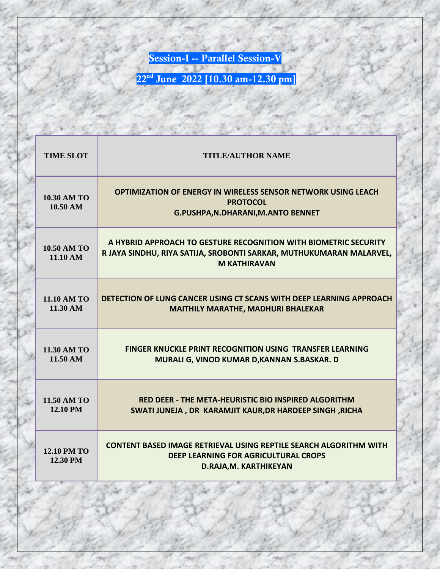**Session-I -- Parallel Session-V**

| <b>TIME SLOT</b>               | <b>TITLE/AUTHOR NAME</b>                                                                                                                                       |
|--------------------------------|----------------------------------------------------------------------------------------------------------------------------------------------------------------|
| <b>10.30 AM TO</b><br>10.50 AM | OPTIMIZATION OF ENERGY IN WIRELESS SENSOR NETWORK USING LEACH<br><b>PROTOCOL</b><br><b>G.PUSHPA, N.DHARANI, M.ANTO BENNET</b>                                  |
| <b>10.50 AM TO</b><br>11.10 AM | A HYBRID APPROACH TO GESTURE RECOGNITION WITH BIOMETRIC SECURITY<br>R JAYA SINDHU, RIYA SATIJA, SROBONTI SARKAR, MUTHUKUMARAN MALARVEL,<br><b>M KATHIRAVAN</b> |
| <b>11.10 AM TO</b><br>11.30 AM | DETECTION OF LUNG CANCER USING CT SCANS WITH DEEP LEARNING APPROACH<br><b>MAITHILY MARATHE, MADHURI BHALEKAR</b>                                               |
| 11.30 AM TO<br>11.50 AM        | <b>FINGER KNUCKLE PRINT RECOGNITION USING TRANSFER LEARNING</b><br>MURALI G, VINOD KUMAR D, KANNAN S.BASKAR. D                                                 |
| 11.50 AM TO<br>12.10 PM        | RED DEER - THE META-HEURISTIC BIO INSPIRED ALGORITHM<br>SWATI JUNEJA, DR KARAMJIT KAUR, DR HARDEEP SINGH, RICHA                                                |
| <b>12.10 PM TO</b><br>12.30 PM | <b>CONTENT BASED IMAGE RETRIEVAL USING REPTILE SEARCH ALGORITHM WITH</b><br><b>DEEP LEARNING FOR AGRICULTURAL CROPS</b><br>D.RAJA, M. KARTHIKEYAN              |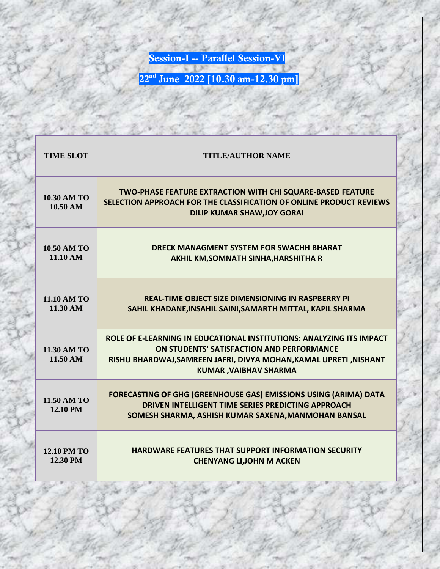**Session-I -- Parallel Session-VI**

| <b>TIME SLOT</b>               | <b>TITLE/AUTHOR NAME</b>                                                                                                                                                                                               |
|--------------------------------|------------------------------------------------------------------------------------------------------------------------------------------------------------------------------------------------------------------------|
| <b>10.30 AM TO</b><br>10.50 AM | TWO-PHASE FEATURE EXTRACTION WITH CHI SQUARE-BASED FEATURE<br>SELECTION APPROACH FOR THE CLASSIFICATION OF ONLINE PRODUCT REVIEWS<br><b>DILIP KUMAR SHAW, JOY GORAI</b>                                                |
| <b>10.50 AM TO</b><br>11.10 AM | <b>DRECK MANAGMENT SYSTEM FOR SWACHH BHARAT</b><br>AKHIL KM, SOMNATH SINHA, HARSHITHA R                                                                                                                                |
| <b>11.10 AM TO</b><br>11.30 AM | <b>REAL-TIME OBJECT SIZE DIMENSIONING IN RASPBERRY PI</b><br>SAHIL KHADANE, INSAHIL SAINI, SAMARTH MITTAL, KAPIL SHARMA                                                                                                |
| 11.30 AM TO<br>11.50 AM        | ROLE OF E-LEARNING IN EDUCATIONAL INSTITUTIONS: ANALYZING ITS IMPACT<br>ON STUDENTS' SATISFACTION AND PERFORMANCE<br>RISHU BHARDWAJ, SAMREEN JAFRI, DIVYA MOHAN, KAMAL UPRETI, NISHANT<br><b>KUMAR, VAIBHAV SHARMA</b> |
| 11.50 AM TO<br>12.10 PM        | FORECASTING OF GHG (GREENHOUSE GAS) EMISSIONS USING (ARIMA) DATA<br>DRIVEN INTELLIGENT TIME SERIES PREDICTING APPROACH<br>SOMESH SHARMA, ASHISH KUMAR SAXENA, MANMOHAN BANSAL                                          |
| <b>12.10 PM TO</b><br>12.30 PM | <b>HARDWARE FEATURES THAT SUPPORT INFORMATION SECURITY</b><br><b>CHENYANG LI, JOHN M ACKEN</b>                                                                                                                         |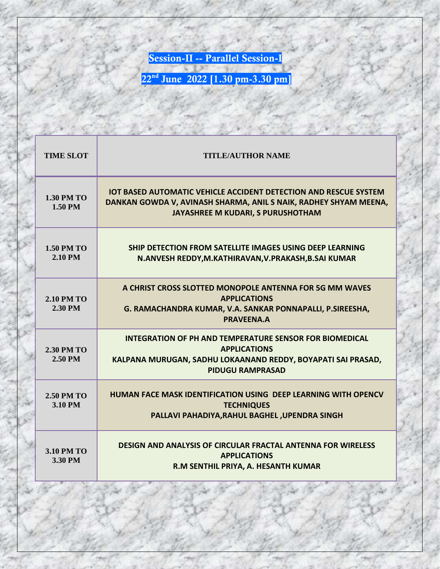**Session-II -- Parallel Session-I**

| <b>TIME SLOT</b>             | <b>TITLE/AUTHOR NAME</b>                                                                                                                                                         |
|------------------------------|----------------------------------------------------------------------------------------------------------------------------------------------------------------------------------|
| <b>1.30 PM TO</b><br>1.50 PM | <b>IOT BASED AUTOMATIC VEHICLE ACCIDENT DETECTION AND RESCUE SYSTEM</b><br>DANKAN GOWDA V, AVINASH SHARMA, ANIL S NAIK, RADHEY SHYAM MEENA,<br>JAYASHREE M KUDARI, S PURUSHOTHAM |
| <b>1.50 PM TO</b><br>2.10 PM | <b>SHIP DETECTION FROM SATELLITE IMAGES USING DEEP LEARNING</b><br>N.ANVESH REDDY, M.KATHIRAVAN, V.PRAKASH, B.SAI KUMAR                                                          |
| <b>2.10 PM TO</b><br>2.30 PM | A CHRIST CROSS SLOTTED MONOPOLE ANTENNA FOR 5G MM WAVES<br><b>APPLICATIONS</b><br>G. RAMACHANDRA KUMAR, V.A. SANKAR PONNAPALLI, P.SIREESHA,<br>PRAVFFNA.A                        |
| <b>2.30 PM TO</b><br>2.50 PM | <b>INTEGRATION OF PH AND TEMPERATURE SENSOR FOR BIOMEDICAL</b><br><b>APPLICATIONS</b><br>KALPANA MURUGAN, SADHU LOKAANAND REDDY, BOYAPATI SAI PRASAD,<br><b>PIDUGU RAMPRASAD</b> |
| <b>2.50 PM TO</b><br>3.10 PM | HUMAN FACE MASK IDENTIFICATION USING DEEP LEARNING WITH OPENCV<br><b>TECHNIQUES</b><br>PALLAVI PAHADIYA, RAHUL BAGHEL, UPENDRA SINGH                                             |
| <b>3.10 PM TO</b><br>3.30 PM | <b>DESIGN AND ANALYSIS OF CIRCULAR FRACTAL ANTENNA FOR WIRELESS</b><br><b>APPLICATIONS</b><br>R.M SENTHIL PRIYA, A. HESANTH KUMAR                                                |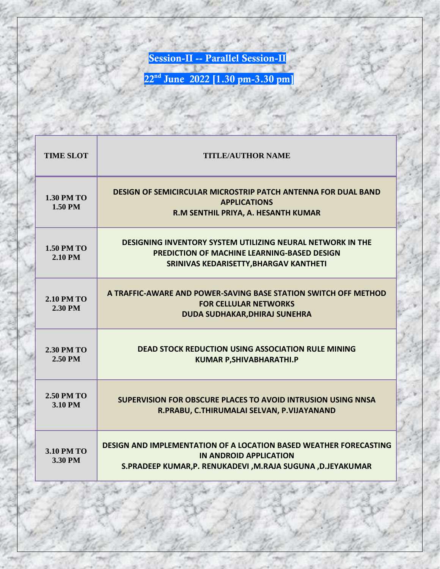**Session-II -- Parallel Session-II**

| <b>TIME SLOT</b>             | <b>TITLE/AUTHOR NAME</b>                                                                                                                                          |
|------------------------------|-------------------------------------------------------------------------------------------------------------------------------------------------------------------|
| <b>1.30 PM TO</b><br>1.50 PM | <b>DESIGN OF SEMICIRCULAR MICROSTRIP PATCH ANTENNA FOR DUAL BAND</b><br><b>APPLICATIONS</b><br>R.M SENTHIL PRIYA, A. HESANTH KUMAR                                |
| <b>1.50 PM TO</b><br>2.10 PM | <b>DESIGNING INVENTORY SYSTEM UTILIZING NEURAL NETWORK IN THE</b><br><b>PREDICTION OF MACHINE LEARNING-BASED DESIGN</b><br>SRINIVAS KEDARISETTY, BHARGAV KANTHETI |
| <b>2.10 PM TO</b><br>2.30 PM | A TRAFFIC-AWARE AND POWER-SAVING BASE STATION SWITCH OFF METHOD<br><b>FOR CELLULAR NETWORKS</b><br><b>DUDA SUDHAKAR, DHIRAJ SUNEHRA</b>                           |
| <b>2.30 PM TO</b><br>2.50 PM | <b>DEAD STOCK REDUCTION USING ASSOCIATION RULE MINING</b><br><b>KUMAR P, SHIVABHARATHI.P</b>                                                                      |
| <b>2.50 PM TO</b><br>3.10 PM | <b>SUPERVISION FOR OBSCURE PLACES TO AVOID INTRUSION USING NNSA</b><br>R.PRABU, C.THIRUMALAI SELVAN, P.VIJAYANAND                                                 |
| <b>3.10 PM TO</b><br>3.30 PM | <b>DESIGN AND IMPLEMENTATION OF A LOCATION BASED WEATHER FORECASTING</b><br>IN ANDROID APPLICATION<br>S.PRADEEP KUMAR,P. RENUKADEVI ,M.RAJA SUGUNA ,D.JEYAKUMAR   |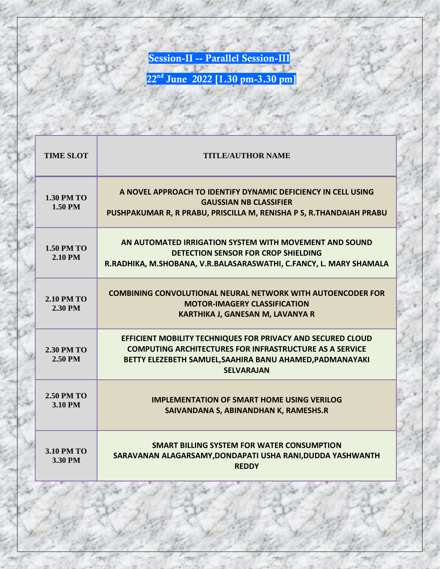**Session-II -- Parallel Session-III**

| <b>TIME SLOT</b>             | <b>TITLE/AUTHOR NAME</b>                                                                                                                                                                                       |
|------------------------------|----------------------------------------------------------------------------------------------------------------------------------------------------------------------------------------------------------------|
| <b>1.30 PM TO</b><br>1.50 PM | A NOVEL APPROACH TO IDENTIFY DYNAMIC DEFICIENCY IN CELL USING<br><b>GAUSSIAN NB CLASSIFIFR</b><br>PUSHPAKUMAR R, R PRABU, PRISCILLA M, RENISHA P S, R.THANDAIAH PRABU                                          |
| <b>1.50 PM TO</b><br>2.10 PM | AN AUTOMATED IRRIGATION SYSTEM WITH MOVEMENT AND SOUND<br>DETECTION SENSOR FOR CROP SHIELDING<br>R.RADHIKA, M.SHOBANA, V.R.BALASARASWATHI, C.FANCY, L. MARY SHAMALA                                            |
| <b>2.10 PM TO</b><br>2.30 PM | <b>COMBINING CONVOLUTIONAL NEURAL NETWORK WITH AUTOENCODER FOR</b><br><b>MOTOR-IMAGERY CLASSIFICATION</b><br><b>KARTHIKA J, GANESAN M, LAVANYA R</b>                                                           |
| <b>2.30 PM TO</b><br>2.50 PM | EFFICIENT MOBILITY TECHNIQUES FOR PRIVACY AND SECURED CLOUD<br><b>COMPUTING ARCHITECTURES FOR INFRASTRUCTURE AS A SERVICE</b><br>BETTY ELEZEBETH SAMUEL, SAAHIRA BANU AHAMED, PADMANAYAKI<br><b>SELVARAJAN</b> |
| <b>2.50 PM TO</b><br>3.10 PM | <b>IMPLEMENTATION OF SMART HOME USING VERILOG</b><br>SAIVANDANA S, ABINANDHAN K, RAMESHS.R                                                                                                                     |
| <b>3.10 PM TO</b><br>3.30 PM | SMART BILLING SYSTEM FOR WATER CONSUMPTION<br>SARAVANAN ALAGARSAMY, DONDAPATI USHA RANI, DUDDA YASHWANTH<br><b>REDDY</b>                                                                                       |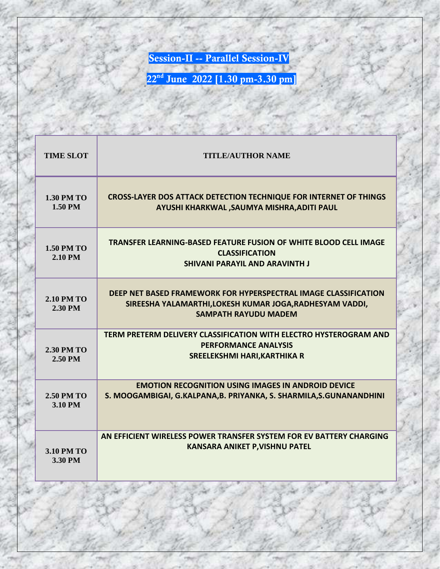**Session-II -- Parallel Session-IV**

| <b>TIME SLOT</b>             | <b>TITLE/AUTHOR NAME</b>                                                                                                                                   |
|------------------------------|------------------------------------------------------------------------------------------------------------------------------------------------------------|
| <b>1.30 PM TO</b><br>1.50 PM | <b>CROSS-LAYER DOS ATTACK DETECTION TECHNIQUE FOR INTERNET OF THINGS</b><br>AYUSHI KHARKWAL , SAUMYA MISHRA, ADITI PAUL                                    |
| <b>1.50 PM TO</b><br>2.10 PM | TRANSFER LEARNING-BASED FEATURE FUSION OF WHITE BLOOD CELL IMAGE<br><b>CLASSIFICATION</b><br><b>SHIVANI PARAYIL AND ARAVINTH J</b>                         |
| <b>2.10 PM TO</b><br>2.30 PM | DEEP NET BASED FRAMEWORK FOR HYPERSPECTRAL IMAGE CLASSIFICATION<br>SIREESHA YALAMARTHI, LOKESH KUMAR JOGA, RADHESYAM VADDI,<br><b>SAMPATH RAYUDU MADEM</b> |
| <b>2.30 PM TO</b><br>2.50 PM | TERM PRETERM DELIVERY CLASSIFICATION WITH ELECTRO HYSTEROGRAM AND<br><b>PERFORMANCE ANALYSIS</b><br><b>SREELEKSHMI HARI, KARTHIKA R</b>                    |
| <b>2.50 PM TO</b><br>3.10 PM | <b>EMOTION RECOGNITION USING IMAGES IN ANDROID DEVICE</b><br>S. MOOGAMBIGAI, G.KALPANA, B. PRIYANKA, S. SHARMILA, S. GUNANANDHINI                          |
| <b>3.10 PM TO</b><br>3.30 PM | AN EFFICIENT WIRELESS POWER TRANSFER SYSTEM FOR EV BATTERY CHARGING<br><b>KANSARA ANIKET P, VISHNU PATEL</b>                                               |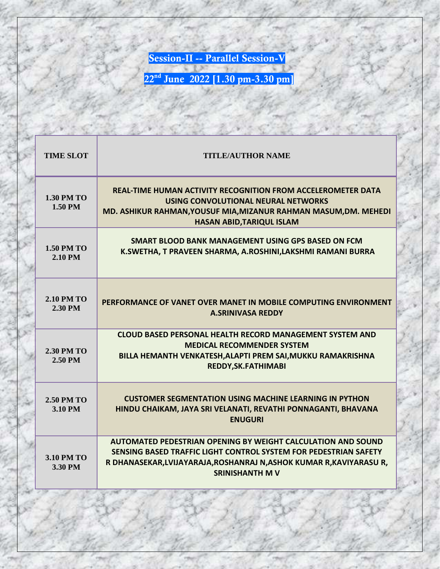**Session-II -- Parallel Session-V**

| <b>TIME SLOT</b>             | <b>TITLE/AUTHOR NAME</b>                                                                                                                                                                                                                  |
|------------------------------|-------------------------------------------------------------------------------------------------------------------------------------------------------------------------------------------------------------------------------------------|
| <b>1.30 PM TO</b><br>1.50 PM | REAL-TIME HUMAN ACTIVITY RECOGNITION FROM ACCELEROMETER DATA<br>USING CONVOLUTIONAL NEURAL NETWORKS<br>MD. ASHIKUR RAHMAN, YOUSUF MIA, MIZANUR RAHMAN MASUM, DM. MEHEDI<br><b>HASAN ABID, TARIQUL ISLAM</b>                               |
| <b>1.50 PM TO</b><br>2.10 PM | SMART BLOOD BANK MANAGEMENT USING GPS BASED ON FCM<br>K.SWETHA, T PRAVEEN SHARMA, A.ROSHINI,LAKSHMI RAMANI BURRA                                                                                                                          |
| <b>2.10 PM TO</b><br>2.30 PM | PERFORMANCE OF VANET OVER MANET IN MOBILE COMPUTING ENVIRONMENT<br><b>A.SRINIVASA REDDY</b>                                                                                                                                               |
| <b>2.30 PM TO</b><br>2.50 PM | <b>CLOUD BASED PERSONAL HEALTH RECORD MANAGEMENT SYSTEM AND</b><br><b>MEDICAL RECOMMENDER SYSTEM</b><br>BILLA HEMANTH VENKATESH, ALAPTI PREM SAI, MUKKU RAMAKRISHNA<br>REDDY, SK. FATHIMABI                                               |
| <b>2.50 PM TO</b><br>3.10 PM | <b>CUSTOMER SEGMENTATION USING MACHINE LEARNING IN PYTHON</b><br>HINDU CHAIKAM, JAYA SRI VELANATI, REVATHI PONNAGANTI, BHAVANA<br><b>ENUGURI</b>                                                                                          |
| <b>3.10 PM TO</b><br>3.30 PM | <b>AUTOMATED PEDESTRIAN OPENING BY WEIGHT CALCULATION AND SOUND</b><br>SENSING BASED TRAFFIC LIGHT CONTROL SYSTEM FOR PEDESTRIAN SAFETY<br>R DHANASEKAR, LVIJAYARAJA, ROSHANRAJ N, ASHOK KUMAR R, KAVIYARASU R,<br><b>SRINISHANTH M V</b> |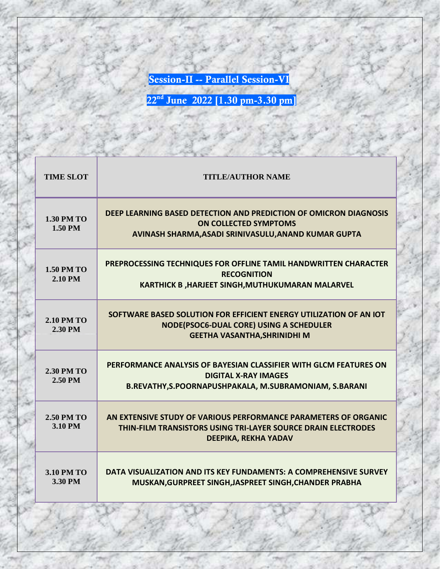**Session-II -- Parallel Session-VI**

| <b>TIME SLOT</b>                    | <b>TITLE/AUTHOR NAME</b>                                                                                                                                               |
|-------------------------------------|------------------------------------------------------------------------------------------------------------------------------------------------------------------------|
| <b>1.30 PM TO</b><br><b>1.50 PM</b> | DEEP LEARNING BASED DETECTION AND PREDICTION OF OMICRON DIAGNOSIS<br><b>ON COLLECTED SYMPTOMS</b><br>AVINASH SHARMA, ASADI SRINIVASULU, ANAND KUMAR GUPTA              |
| <b>1.50 PM TO</b><br>2.10 PM        | PREPROCESSING TECHNIQUES FOR OFFLINE TAMIL HANDWRITTEN CHARACTER<br><b>RECOGNITION</b><br><b>KARTHICK B, HARJEET SINGH, MUTHUKUMARAN MALARVEL</b>                      |
| <b>2.10 PM TO</b><br>2.30 PM        | SOFTWARE BASED SOLUTION FOR EFFICIENT ENERGY UTILIZATION OF AN IOT<br>NODE(PSOC6-DUAL CORE) USING A SCHEDULER<br><b>GEETHA VASANTHA, SHRINIDHI M</b>                   |
| <b>2.30 PM TO</b><br>2.50 PM        | PERFORMANCE ANALYSIS OF BAYESIAN CLASSIFIER WITH GLCM FEATURES ON<br><b>DIGITAL X-RAY IMAGES</b><br>B.REVATHY, S.POORNAPUSHPAKALA, M.SUBRAMONIAM, S.BARANI             |
| <b>2.50 PM TO</b><br>3.10 PM        | AN EXTENSIVE STUDY OF VARIOUS PERFORMANCE PARAMETERS OF ORGANIC<br><b>THIN-FILM TRANSISTORS USING TRI-LAYER SOURCE DRAIN ELECTRODES</b><br><b>DEEPIKA, REKHA YADAV</b> |
| <b>3.10 PM TO</b><br>3.30 PM        | DATA VISUALIZATION AND ITS KEY FUNDAMENTS: A COMPREHENSIVE SURVEY<br>MUSKAN, GURPREET SINGH, JASPREET SINGH, CHANDER PRABHA                                            |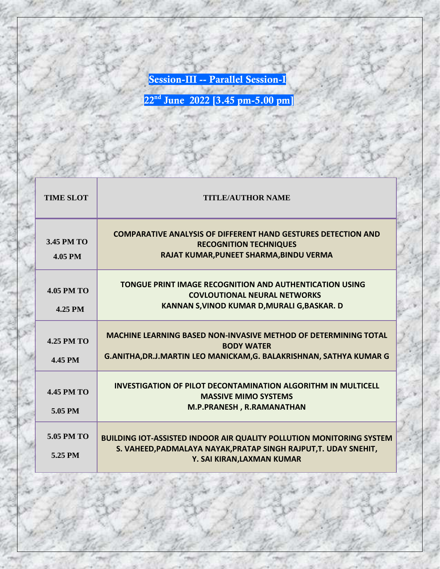**Session-III -- Parallel Session-I**

| <b>TIME SLOT</b>             | <b>TITLE/AUTHOR NAME</b>                                                                                                                                                      |
|------------------------------|-------------------------------------------------------------------------------------------------------------------------------------------------------------------------------|
| 3.45 PM TO<br>4.05 PM        | <b>COMPARATIVE ANALYSIS OF DIFFERENT HAND GESTURES DETECTION AND</b><br><b>RECOGNITION TECHNIQUES</b><br>RAJAT KUMAR, PUNEET SHARMA, BINDU VERMA                              |
| <b>4.05 PM TO</b><br>4.25 PM | <b>TONGUE PRINT IMAGE RECOGNITION AND AUTHENTICATION USING</b><br><b>COVLOUTIONAL NEURAL NETWORKS</b><br>KANNAN S, VINOD KUMAR D, MURALI G, BASKAR. D                         |
| <b>4.25 PM TO</b><br>4.45 PM | <b>MACHINE LEARNING BASED NON-INVASIVE METHOD OF DETERMINING TOTAL</b><br><b>BODY WATER</b><br>G.ANITHA, DR.J.MARTIN LEO MANICKAM, G. BALAKRISHNAN, SATHYA KUMAR G            |
| <b>4.45 PM TO</b><br>5.05 PM | <b>INVESTIGATION OF PILOT DECONTAMINATION ALGORITHM IN MULTICELL</b><br><b>MASSIVE MIMO SYSTEMS</b><br>M.P.PRANESH, R.RAMANATHAN                                              |
| 5.05 PM TO<br>5.25 PM        | <b>BUILDING IOT-ASSISTED INDOOR AIR QUALITY POLLUTION MONITORING SYSTEM</b><br>S. VAHEED, PADMALAYA NAYAK, PRATAP SINGH RAJPUT, T. UDAY SNEHIT,<br>Y. SAI KIRAN, LAXMAN KUMAR |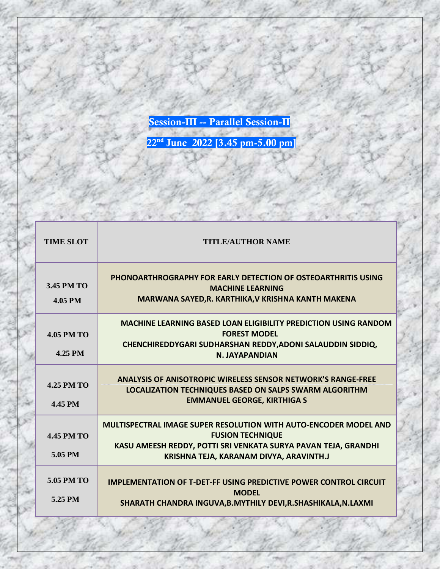**Session-III -- Parallel Session-II**

| <b>TIME SLOT</b>                    | <b>TITLE/AUTHOR NAME</b>                                                                                                                                                                                        |
|-------------------------------------|-----------------------------------------------------------------------------------------------------------------------------------------------------------------------------------------------------------------|
| <b>3.45 PM TO</b><br><b>4.05 PM</b> | <b>PHONOARTHROGRAPHY FOR EARLY DETECTION OF OSTEOARTHRITIS USING</b><br><b>MACHINE LEARNING</b><br>MARWANA SAYED, R. KARTHIKA, V KRISHNA KANTH MAKENA                                                           |
| <b>4.05 PM TO</b><br>4.25 PM        | <b>MACHINE LEARNING BASED LOAN ELIGIBILITY PREDICTION USING RANDOM</b><br><b>FOREST MODEL</b><br>CHENCHIREDDYGARI SUDHARSHAN REDDY, ADONI SALAUDDIN SIDDIQ,<br>N. JAYAPANDIAN                                   |
| <b>4.25 PM TO</b><br>4.45 PM        | <b>ANALYSIS OF ANISOTROPIC WIRELESS SENSOR NETWORK'S RANGE-FREE</b><br><b>LOCALIZATION TECHNIQUES BASED ON SALPS SWARM ALGORITHM</b><br><b>EMMANUEL GEORGE, KIRTHIGA S</b>                                      |
| <b>4.45 PM TO</b><br>5.05 PM        | <b>MULTISPECTRAL IMAGE SUPER RESOLUTION WITH AUTO-ENCODER MODEL AND</b><br><b>FUSION TECHNIQUE</b><br>KASU AMEESH REDDY, POTTI SRI VENKATA SURYA PAVAN TEJA, GRANDHI<br>KRISHNA TEJA, KARANAM DIVYA, ARAVINTH.J |
| 5.05 PM TO<br>5.25 PM               | <b>IMPLEMENTATION OF T-DET-FF USING PREDICTIVE POWER CONTROL CIRCUIT</b><br><b>MODFL</b><br>SHARATH CHANDRA INGUVA, B. MYTHILY DEVI, R. SHASHIKALA, N. LAXMI                                                    |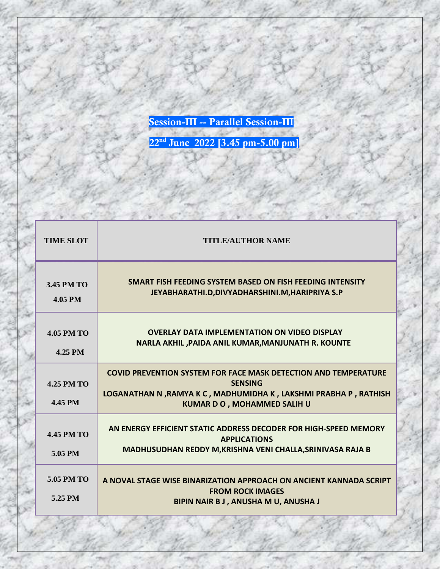**Session-III -- Parallel Session-III**

| <b>TIME SLOT</b>             | <b>TITLE/AUTHOR NAME</b>                                                                                                                                                                           |
|------------------------------|----------------------------------------------------------------------------------------------------------------------------------------------------------------------------------------------------|
| 3.45 PM TO<br>4.05 PM        | SMART FISH FEEDING SYSTEM BASED ON FISH FEEDING INTENSITY<br>JEYABHARATHI.D,DIVYADHARSHINI.M,HARIPRIYA S.P                                                                                         |
| <b>4.05 PM TO</b><br>4.25 PM | <b>OVERLAY DATA IMPLEMENTATION ON VIDEO DISPLAY</b><br>NARLA AKHIL , PAIDA ANIL KUMAR, MANJUNATH R. KOUNTE                                                                                         |
| <b>4.25 PM TO</b><br>4.45 PM | <b>COVID PREVENTION SYSTEM FOR FACE MASK DETECTION AND TEMPERATURE</b><br><b>SENSING</b><br>LOGANATHAN N, RAMYA K C, MADHUMIDHA K, LAKSHMI PRABHA P, RATHISH<br><b>KUMAR D O, MOHAMMED SALIH U</b> |
| <b>4.45 PM TO</b><br>5.05 PM | AN ENERGY EFFICIENT STATIC ADDRESS DECODER FOR HIGH-SPEED MEMORY<br><b>APPLICATIONS</b><br>MADHUSUDHAN REDDY M, KRISHNA VENI CHALLA, SRINIVASA RAJA B                                              |
| 5.05 PM TO<br>5.25 PM        | A NOVAL STAGE WISE BINARIZATION APPROACH ON ANCIENT KANNADA SCRIPT<br><b>FROM ROCK IMAGES</b><br>BIPIN NAIR B J, ANUSHA M U, ANUSHA J                                                              |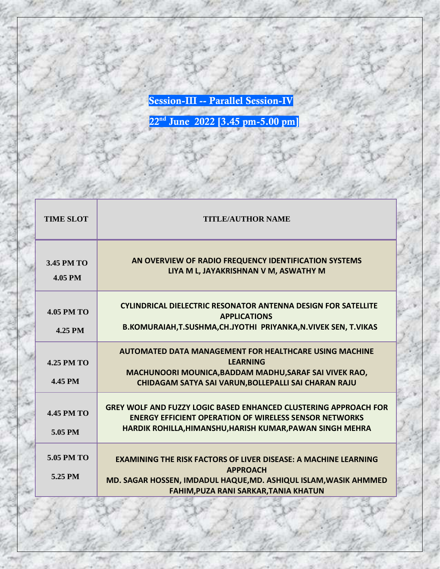**Session-III -- Parallel Session-IV**

| <b>TIME SLOT</b>             | <b>TITLE/AUTHOR NAME</b>                                                                                                                                                                                      |
|------------------------------|---------------------------------------------------------------------------------------------------------------------------------------------------------------------------------------------------------------|
| 3.45 PM TO<br>4.05 PM        | AN OVERVIEW OF RADIO FREQUENCY IDENTIFICATION SYSTEMS<br>LIYA M L, JAYAKRISHNAN V M, ASWATHY M                                                                                                                |
| <b>4.05 PM TO</b><br>4.25 PM | <b>CYLINDRICAL DIELECTRIC RESONATOR ANTENNA DESIGN FOR SATELLITE</b><br><b>APPLICATIONS</b><br>B.KOMURAIAH, T.SUSHMA, CH.JYOTHI PRIYANKA, N. VIVEK SEN, T. VIKAS                                              |
| $4.25$ PM TO<br>4.45 PM      | AUTOMATED DATA MANAGEMENT FOR HEALTHCARE USING MACHINE<br><b>LEARNING</b><br>MACHUNOORI MOUNICA, BADDAM MADHU, SARAF SAI VIVEK RAO,<br>CHIDAGAM SATYA SAI VARUN, BOLLEPALLI SAI CHARAN RAJU                   |
| <b>4.45 PM TO</b><br>5.05 PM | <b>GREY WOLF AND FUZZY LOGIC BASED ENHANCED CLUSTERING APPROACH FOR</b><br><b>ENERGY EFFICIENT OPERATION OF WIRELESS SENSOR NETWORKS</b><br>HARDIK ROHILLA, HIMANSHU, HARISH KUMAR, PAWAN SINGH MEHRA         |
| 5.05 PM TO<br>5.25 PM        | <b>EXAMINING THE RISK FACTORS OF LIVER DISEASE: A MACHINE LEARNING</b><br><b>APPROACH</b><br>MD. SAGAR HOSSEN, IMDADUL HAQUE, MD. ASHIQUL ISLAM, WASIK AHMMED<br><b>FAHIM, PUZA RANI SARKAR, TANIA KHATUN</b> |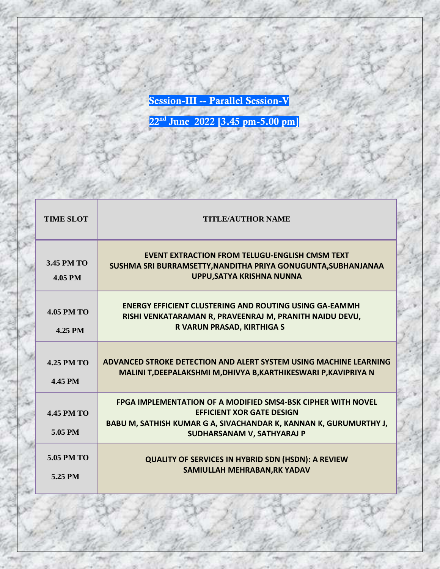**Session-III -- Parallel Session-V**

| <b>TIME SLOT</b>                    | <b>TITLE/AUTHOR NAME</b>                                                                                                                                                                                   |
|-------------------------------------|------------------------------------------------------------------------------------------------------------------------------------------------------------------------------------------------------------|
| 3.45 PM TO<br><b>4.05 PM</b>        | <b>EVENT EXTRACTION FROM TELUGU-ENGLISH CMSM TEXT</b><br>SUSHMA SRI BURRAMSETTY, NANDITHA PRIYA GONUGUNTA, SUBHANJANAA<br>UPPU, SATYA KRISHNA NUNNA                                                        |
| <b>4.05 PM TO</b><br>4.25 PM        | <b>ENERGY EFFICIENT CLUSTERING AND ROUTING USING GA-EAMMH</b><br>RISHI VENKATARAMAN R, PRAVEENRAJ M, PRANITH NAIDU DEVU,<br>R VARUN PRASAD, KIRTHIGA S                                                     |
| <b>4.25 PM TO</b><br><b>4.45 PM</b> | ADVANCED STROKE DETECTION AND ALERT SYSTEM USING MACHINE LEARNING<br>MALINI T, DEEPALAKSHMI M, DHIVYA B, KARTHIKESWARI P, KAVIPRIYA N                                                                      |
| <b>4.45 PM TO</b><br>5.05 PM        | <b>FPGA IMPLEMENTATION OF A MODIFIED SMS4-BSK CIPHER WITH NOVEL</b><br><b>EFFICIENT XOR GATE DESIGN</b><br>BABU M, SATHISH KUMAR G A, SIVACHANDAR K, KANNAN K, GURUMURTHY J,<br>SUDHARSANAM V, SATHYARAJ P |
| 5.05 PM TO<br>5.25 PM               | <b>QUALITY OF SERVICES IN HYBRID SDN (HSDN): A REVIEW</b><br>SAMIULLAH MEHRABAN, RK YADAV                                                                                                                  |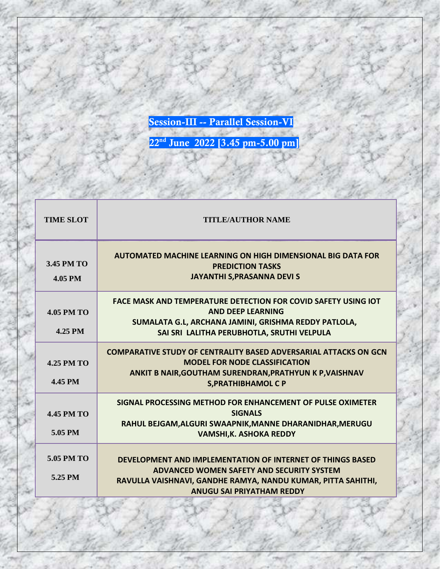**Session-III -- Parallel Session-VI**

| <b>TIME SLOT</b>             | <b>TITLE/AUTHOR NAME</b>                                                                                                                                                                                    |
|------------------------------|-------------------------------------------------------------------------------------------------------------------------------------------------------------------------------------------------------------|
| 3.45 PM TO<br>4.05 PM        | AUTOMATED MACHINE LEARNING ON HIGH DIMENSIONAL BIG DATA FOR<br><b>PREDICTION TASKS</b><br><b>JAYANTHI S, PRASANNA DEVI S</b>                                                                                |
| <b>4.05 PM TO</b><br>4.25 PM | <b>FACE MASK AND TEMPERATURE DETECTION FOR COVID SAFETY USING IOT</b><br><b>AND DEFP LEARNING</b><br>SUMALATA G.L, ARCHANA JAMINI, GRISHMA REDDY PATLOLA,<br>SAI SRI LALITHA PERUBHOTLA, SRUTHI VELPULA     |
| <b>4.25 PM TO</b><br>4.45 PM | <b>COMPARATIVE STUDY OF CENTRALITY BASED ADVERSARIAL ATTACKS ON GCN</b><br><b>MODEL FOR NODE CLASSIFICATION</b><br>ANKIT B NAIR, GOUTHAM SURENDRAN, PRATHYUN K P, VAISHNAV<br><b>S, PRATHIBHAMOL C P</b>    |
| <b>4.45 PM TO</b><br>5.05 PM | SIGNAL PROCESSING METHOD FOR ENHANCEMENT OF PULSE OXIMETER<br><b>SIGNALS</b><br>RAHUL BEJGAM, ALGURI SWAAPNIK, MANNE DHARANIDHAR, MERUGU<br><b>VAMSHI, K. ASHOKA REDDY</b>                                  |
| 5.05 PM TO<br>5.25 PM        | DEVELOPMENT AND IMPLEMENTATION OF INTERNET OF THINGS BASED<br>ADVANCED WOMEN SAFETY AND SECURITY SYSTEM<br>RAVULLA VAISHNAVI, GANDHE RAMYA, NANDU KUMAR, PITTA SAHITHI,<br><b>ANUGU SAI PRIYATHAM REDDY</b> |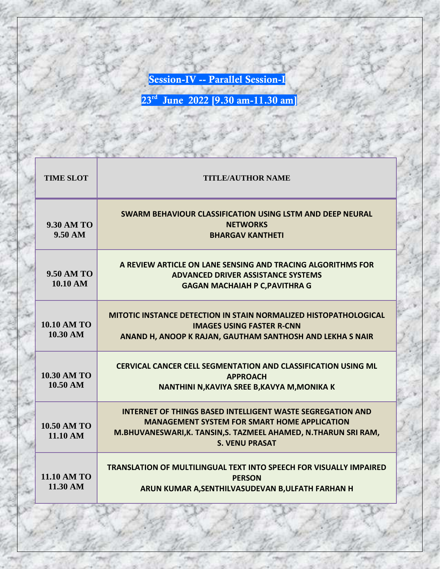**Session-IV -- Parallel Session-I**

| <b>TIME SLOT</b>                         | <b>TITLE/AUTHOR NAME</b>                                                                                                                                                                                             |
|------------------------------------------|----------------------------------------------------------------------------------------------------------------------------------------------------------------------------------------------------------------------|
| <b>9.30 AM TO</b><br>$9.50 \text{ AM}$   | <b>SWARM BEHAVIOUR CLASSIFICATION USING LSTM AND DEEP NEURAL</b><br><b>NETWORKS</b><br><b>BHARGAV KANTHETI</b>                                                                                                       |
| <b>9.50 AM TO</b><br>10.10 AM            | A REVIEW ARTICLE ON LANE SENSING AND TRACING ALGORITHMS FOR<br><b>ADVANCED DRIVER ASSISTANCE SYSTEMS</b><br><b>GAGAN MACHAIAH P C, PAVITHRA G</b>                                                                    |
| <b>10.10 AM TO</b><br>10.30 AM           | <b>MITOTIC INSTANCE DETECTION IN STAIN NORMALIZED HISTOPATHOLOGICAL</b><br><b>IMAGES USING FASTER R-CNN</b><br>ANAND H, ANOOP K RAJAN, GAUTHAM SANTHOSH AND LEKHA S NAIR                                             |
| <b>10.30 AM TO</b><br>$10.50 \text{ AM}$ | <b>CERVICAL CANCER CELL SEGMENTATION AND CLASSIFICATION USING ML</b><br><b>APPROACH</b><br>NANTHINI N, KAVIYA SREE B, KAVYA M, MONIKA K                                                                              |
| <b>10.50 AM TO</b><br>11.10 AM           | <b>INTERNET OF THINGS BASED INTELLIGENT WASTE SEGREGATION AND</b><br><b>MANAGEMENT SYSTEM FOR SMART HOME APPLICATION</b><br>M.BHUVANESWARI, K. TANSIN, S. TAZMEEL AHAMED, N.THARUN SRI RAM,<br><b>S. VENU PRASAT</b> |
| <b>11.10 AM TO</b><br>11.30 AM           | <b>TRANSLATION OF MULTILINGUAL TEXT INTO SPEECH FOR VISUALLY IMPAIRED</b><br><b>PERSON</b><br>ARUN KUMAR A, SENTHILVASUDEVAN B, ULFATH FARHAN H                                                                      |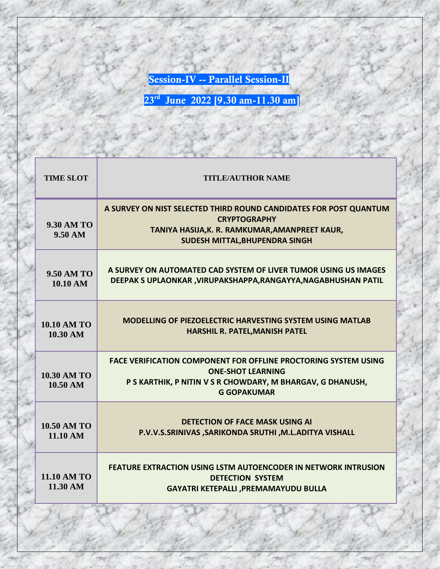**Session-IV -- Parallel Session-II**

| <b>TIME SLOT</b>                       | <b>TITLE/AUTHOR NAME</b>                                                                                                                                                               |
|----------------------------------------|----------------------------------------------------------------------------------------------------------------------------------------------------------------------------------------|
| <b>9.30 AM TO</b><br>$9.50 \text{ AM}$ | A SURVEY ON NIST SELECTED THIRD ROUND CANDIDATES FOR POST QUANTUM<br><b>CRYPTOGRAPHY</b><br>TANIYA HASIJA, K. R. RAMKUMAR, AMANPREET KAUR,<br>SUDESH MITTAL, BHUPENDRA SINGH           |
| <b>9.50 AM TO</b><br>10.10 AM          | A SURVEY ON AUTOMATED CAD SYSTEM OF LIVER TUMOR USING US IMAGES<br>DEEPAK S UPLAONKAR , VIRUPAKSHAPPA, RANGAYYA, NAGABHUSHAN PATIL                                                     |
| <b>10.10 AM TO</b><br>10.30 AM         | <b>MODELLING OF PIEZOELECTRIC HARVESTING SYSTEM USING MATLAB</b><br>HARSHIL R. PATEL, MANISH PATEL                                                                                     |
| <b>10.30 AM TO</b><br>10.50 AM         | <b>FACE VERIFICATION COMPONENT FOR OFFLINE PROCTORING SYSTEM USING</b><br><b>ONE-SHOT LEARNING</b><br>P S KARTHIK, P NITIN V S R CHOWDARY, M BHARGAV, G DHANUSH,<br><b>G GOPAKUMAR</b> |
| <b>10.50 AM TO</b><br>11.10 AM         | <b>DETECTION OF FACE MASK USING AI</b><br>P.V.V.S.SRINIVAS, SARIKONDA SRUTHI, M.L.ADITYA VISHALL                                                                                       |
| <b>11.10 AM TO</b><br>11.30 AM         | <b>FEATURE EXTRACTION USING LSTM AUTOENCODER IN NETWORK INTRUSION</b><br><b>DETECTION SYSTEM</b><br><b>GAYATRI KETEPALLI , PREMAMAYUDU BULLA</b>                                       |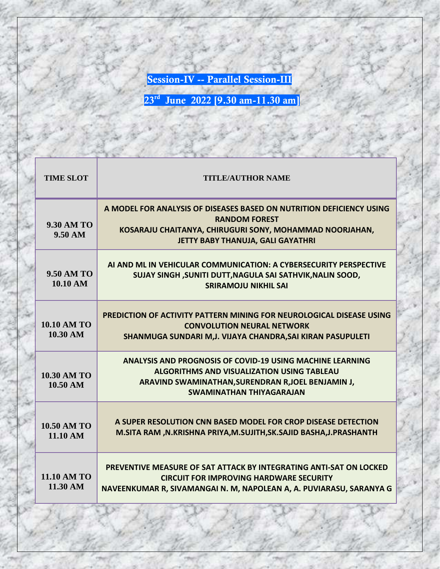**Session-IV -- Parallel Session-III**

| <b>TIME SLOT</b>                       | <b>TITLE/AUTHOR NAME</b>                                                                                                                                                                                       |
|----------------------------------------|----------------------------------------------------------------------------------------------------------------------------------------------------------------------------------------------------------------|
| <b>9.30 AM TO</b><br>$9.50 \text{ AM}$ | A MODEL FOR ANALYSIS OF DISEASES BASED ON NUTRITION DEFICIENCY USING<br><b>RANDOM FOREST</b><br>KOSARAJU CHAITANYA, CHIRUGURI SONY, MOHAMMAD NOORJAHAN,<br>JETTY BABY THANUJA, GALI GAYATHRI                   |
| <b>9.50 AM TO</b><br>10.10 AM          | ALAND ML IN VEHICULAR COMMUNICATION: A CYBERSECURITY PERSPECTIVE<br>SUJAY SINGH , SUNITI DUTT, NAGULA SAI SATHVIK, NALIN SOOD,<br><b>SRIRAMOJU NIKHIL SAI</b>                                                  |
| <b>10.10 AM TO</b><br>10.30 AM         | PREDICTION OF ACTIVITY PATTERN MINING FOR NEUROLOGICAL DISEASE USING<br><b>CONVOLUTION NEURAL NETWORK</b><br>SHANMUGA SUNDARI M, J. VIJAYA CHANDRA, SAI KIRAN PASUPULETI                                       |
| <b>10.30 AM TO</b><br>10.50 AM         | <b>ANALYSIS AND PROGNOSIS OF COVID-19 USING MACHINE LEARNING</b><br><b>ALGORITHMS AND VISUALIZATION USING TABLEAU</b><br>ARAVIND SWAMINATHAN, SURENDRAN R, JOEL BENJAMIN J,<br><b>SWAMINATHAN THIYAGARAJAN</b> |
| <b>10.50 AM TO</b><br>11.10 AM         | A SUPER RESOLUTION CNN BASED MODEL FOR CROP DISEASE DETECTION<br>M.SITA RAM , N.KRISHNA PRIYA, M.SUJITH, SK. SAJID BASHA, J.PRASHANTH                                                                          |
| <b>11.10 AM TO</b><br>11.30 AM         | PREVENTIVE MEASURE OF SAT ATTACK BY INTEGRATING ANTI-SAT ON LOCKED<br><b>CIRCUIT FOR IMPROVING HARDWARE SECURITY</b><br>NAVEENKUMAR R, SIVAMANGAI N. M, NAPOLEAN A, A. PUVIARASU, SARANYA G                    |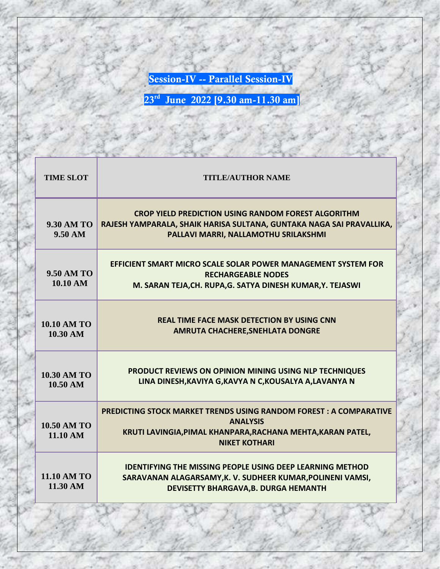**Session-IV -- Parallel Session-IV**

| <b>TIME SLOT</b>                       | <b>TITLE/AUTHOR NAME</b>                                                                                                                                                           |
|----------------------------------------|------------------------------------------------------------------------------------------------------------------------------------------------------------------------------------|
| <b>9.30 AM TO</b><br>$9.50 \text{ AM}$ | <b>CROP YIELD PREDICTION USING RANDOM FOREST ALGORITHM</b><br>RAJESH YAMPARALA, SHAIK HARISA SULTANA, GUNTAKA NAGA SAI PRAVALLIKA,<br>PALLAVI MARRI, NALLAMOTHU SRILAKSHMI         |
| <b>9.50 AM TO</b><br>10.10 AM          | EFFICIENT SMART MICRO SCALE SOLAR POWER MANAGEMENT SYSTEM FOR<br><b>RECHARGEABLE NODES</b><br>M. SARAN TEJA, CH. RUPA, G. SATYA DINESH KUMAR, Y. TEJASWI                           |
| <b>10.10 AM TO</b><br>10.30 AM         | <b>REAL TIME FACE MASK DETECTION BY USING CNN</b><br><b>AMRUTA CHACHERE, SNEHLATA DONGRE</b>                                                                                       |
| <b>10.30 AM TO</b><br>10.50 AM         | PRODUCT REVIEWS ON OPINION MINING USING NLP TECHNIQUES<br>LINA DINESH, KAVIYA G, KAVYA N C, KOUSALYA A, LAVANYA N                                                                  |
| <b>10.50 AM TO</b><br>11.10 AM         | <b>PREDICTING STOCK MARKET TRENDS USING RANDOM FOREST: A COMPARATIVE</b><br><b>ANALYSIS</b><br>KRUTI LAVINGIA, PIMAL KHANPARA, RACHANA MEHTA, KARAN PATEL,<br><b>NIKET KOTHARI</b> |
| <b>11.10 AM TO</b><br>11.30 AM         | <b>IDENTIFYING THE MISSING PEOPLE USING DEEP LEARNING METHOD</b><br>SARAVANAN ALAGARSAMY, K. V. SUDHEER KUMAR, POLINENI VAMSI,<br>DEVISETTY BHARGAVA, B. DURGA HEMANTH             |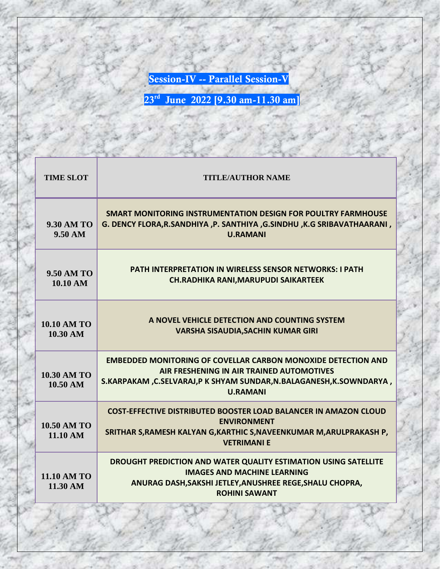**Session-IV -- Parallel Session-V**

| <b>TIME SLOT</b>               | <b>TITLE/AUTHOR NAME</b>                                                                                                                                                                                    |
|--------------------------------|-------------------------------------------------------------------------------------------------------------------------------------------------------------------------------------------------------------|
| <b>9.30 AM TO</b><br>9.50 AM   | SMART MONITORING INSTRUMENTATION DESIGN FOR POULTRY FARMHOUSE<br>G. DENCY FLORA, R.SANDHIYA , P. SANTHIYA , G.SINDHU , K.G SRIBAVATHAARANI,<br><b>U.RAMANI</b>                                              |
| <b>9.50 AM TO</b><br>10.10 AM  | <b>PATH INTERPRETATION IN WIRELESS SENSOR NETWORKS: I PATH</b><br><b>CH.RADHIKA RANI, MARUPUDI SAIKARTEEK</b>                                                                                               |
| <b>10.10 AM TO</b><br>10.30 AM | A NOVEL VEHICLE DETECTION AND COUNTING SYSTEM<br><b>VARSHA SISAUDIA, SACHIN KUMAR GIRI</b>                                                                                                                  |
| <b>10.30 AM TO</b><br>10.50 AM | <b>EMBEDDED MONITORING OF COVELLAR CARBON MONOXIDE DETECTION AND</b><br>AIR FRESHENING IN AIR TRAINED AUTOMOTIVES<br>S.KARPAKAM, C.SELVARAJ, PK SHYAM SUNDAR, N.BALAGANESH, K.SOWNDARYA,<br><b>U.RAMANI</b> |
| <b>10.50 AM TO</b><br>11.10 AM | <b>COST-EFFECTIVE DISTRIBUTED BOOSTER LOAD BALANCER IN AMAZON CLOUD</b><br><b>ENVIRONMENT</b><br>SRITHAR S, RAMESH KALYAN G, KARTHIC S, NAVEENKUMAR M, ARULPRAKASH P,<br><b>VETRIMANI E</b>                 |
| <b>11.10 AM TO</b><br>11.30 AM | DROUGHT PREDICTION AND WATER QUALITY ESTIMATION USING SATELLITE<br><b>IMAGES AND MACHINE LEARNING</b><br>ANURAG DASH, SAKSHI JETLEY, ANUSHREE REGE, SHALU CHOPRA,<br><b>ROHINI SAWANT</b>                   |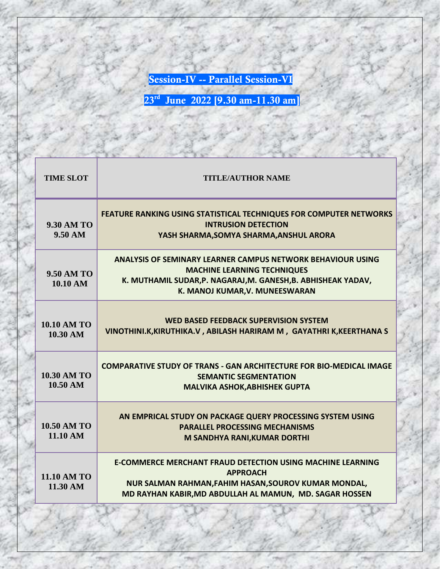**Session-IV -- Parallel Session-VI**

| <b>TIME SLOT</b>               | <b>TITLE/AUTHOR NAME</b>                                                                                                                                                                                    |
|--------------------------------|-------------------------------------------------------------------------------------------------------------------------------------------------------------------------------------------------------------|
| <b>9.30 AM TO</b><br>9.50 AM   | <b>FEATURE RANKING USING STATISTICAL TECHNIQUES FOR COMPUTER NETWORKS</b><br><b>INTRUSION DETECTION</b><br>YASH SHARMA, SOMYA SHARMA, ANSHUL ARORA                                                          |
| <b>9.50 AM TO</b><br>10.10 AM  | <b>ANALYSIS OF SEMINARY LEARNER CAMPUS NETWORK BEHAVIOUR USING</b><br><b>MACHINE LEARNING TECHNIQUES</b><br>K. MUTHAMIL SUDAR, P. NAGARAJ, M. GANESH, B. ABHISHEAK YADAV,<br>K. MANOJ KUMAR, V. MUNEESWARAN |
| <b>10.10 AM TO</b><br>10.30 AM | WED BASED FEEDBACK SUPERVISION SYSTEM<br>VINOTHINI.K, KIRUTHIKA.V, ABILASH HARIRAM M, GAYATHRI K, KEERTHANA S                                                                                               |
| <b>10.30 AM TO</b><br>10.50 AM | <b>COMPARATIVE STUDY OF TRANS - GAN ARCHITECTURE FOR BIO-MEDICAL IMAGE</b><br><b>SEMANTIC SEGMENTATION</b><br><b>MALVIKA ASHOK, ABHISHEK GUPTA</b>                                                          |
| <b>10.50 AM TO</b><br>11.10 AM | AN EMPRICAL STUDY ON PACKAGE QUERY PROCESSING SYSTEM USING<br><b>PARALLEL PROCESSING MECHANISMS</b><br>M SANDHYA RANI, KUMAR DORTHI                                                                         |
| <b>11.10 AM TO</b><br>11.30 AM | <b>E-COMMERCE MERCHANT FRAUD DETECTION USING MACHINE LEARNING</b><br><b>APPROACH</b><br>NUR SALMAN RAHMAN, FAHIM HASAN, SOUROV KUMAR MONDAL,<br>MD RAYHAN KABIR, MD ABDULLAH AL MAMUN, MD. SAGAR HOSSEN     |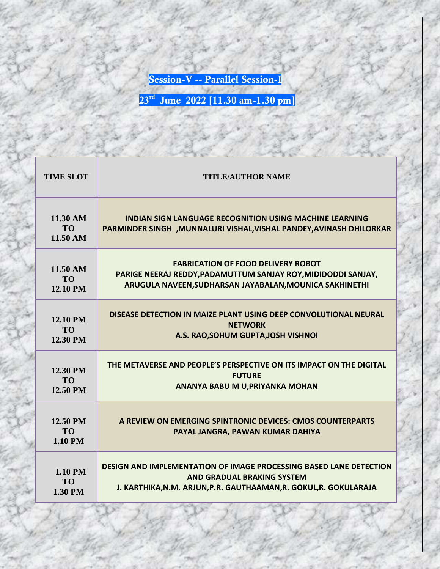**Session-V -- Parallel Session-I**

| <b>TIME SLOT</b>                             | <b>TITLE/AUTHOR NAME</b>                                                                                                               |
|----------------------------------------------|----------------------------------------------------------------------------------------------------------------------------------------|
| 11.30 AM<br>T <sub>O</sub><br>11.50 AM       | <b>INDIAN SIGN LANGUAGE RECOGNITION USING MACHINE LEARNING</b><br>PARMINDER SINGH , MUNNALURI VISHAL, VISHAL PANDEY, AVINASH DHILORKAR |
| 11.50 AM                                     | <b>FABRICATION OF FOOD DELIVERY ROBOT</b>                                                                                              |
| <b>TO</b>                                    | PARIGE NEERAJ REDDY, PADAMUTTUM SANJAY ROY, MIDIDODDI SANJAY,                                                                          |
| <b>12.10 PM</b>                              | ARUGULA NAVEEN, SUDHARSAN JAYABALAN, MOUNICA SAKHINETHI                                                                                |
| <b>12.10 PM</b>                              | DISEASE DETECTION IN MAIZE PLANT USING DEEP CONVOLUTIONAL NEURAL                                                                       |
| <b>TO</b>                                    | <b>NETWORK</b>                                                                                                                         |
| 12.30 PM                                     | A.S. RAO, SOHUM GUPTA, JOSH VISHNOI                                                                                                    |
| 12.30 PM                                     | THE METAVERSE AND PEOPLE'S PERSPECTIVE ON ITS IMPACT ON THE DIGITAL                                                                    |
| T <sub>O</sub>                               | <b>FUTURE</b>                                                                                                                          |
| 12.50 PM                                     | ANANYA BABU M U, PRIYANKA MOHAN                                                                                                        |
| 12.50 PM<br>T <sub>O</sub><br><b>1.10 PM</b> | A REVIEW ON EMERGING SPINTRONIC DEVICES: CMOS COUNTERPARTS<br>PAYAL JANGRA, PAWAN KUMAR DAHIYA                                         |
| 1.10 PM                                      | <b>DESIGN AND IMPLEMENTATION OF IMAGE PROCESSING BASED LANE DETECTION</b>                                                              |
| <b>TO</b>                                    | <b>AND GRADUAL BRAKING SYSTEM</b>                                                                                                      |
| 1.30 PM                                      | J. KARTHIKA, N.M. ARJUN, P.R. GAUTHAAMAN, R. GOKUL, R. GOKULARAJA                                                                      |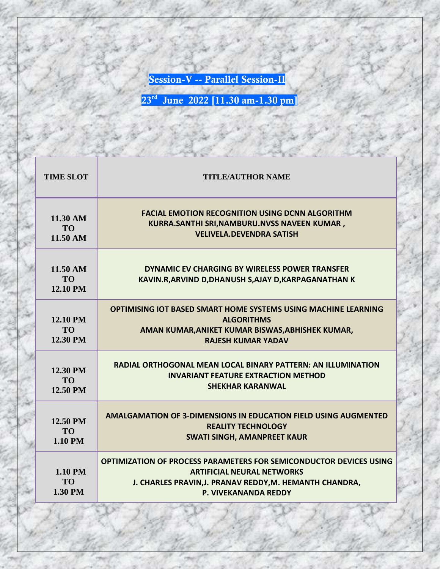**Session-V -- Parallel Session-II**

| <b>TIME SLOT</b>                       | <b>TITLE/AUTHOR NAME</b>                                                                                                                                                                                 |
|----------------------------------------|----------------------------------------------------------------------------------------------------------------------------------------------------------------------------------------------------------|
| 11.30 AM<br><b>TO</b><br>11.50 AM      | <b>FACIAL EMOTION RECOGNITION USING DCNN ALGORITHM</b><br>KURRA.SANTHI SRI,NAMBURU.NVSS NAVEEN KUMAR,<br><b>VELIVELA.DEVENDRA SATISH</b>                                                                 |
| 11.50 AM<br><b>TO</b><br>12.10 PM      | DYNAMIC EV CHARGING BY WIRELESS POWER TRANSFER<br>KAVIN.R, ARVIND D, DHANUSH S, AJAY D, KARPAGANATHAN K                                                                                                  |
| 12.10 PM<br><b>TO</b><br>12.30 PM      | OPTIMISING IOT BASED SMART HOME SYSTEMS USING MACHINE LEARNING<br><b>ALGORITHMS</b><br>AMAN KUMAR, ANIKET KUMAR BISWAS, ABHISHEK KUMAR,<br><b>RAJESH KUMAR YADAV</b>                                     |
| 12.30 PM<br><b>TO</b><br>12.50 PM      | RADIAL ORTHOGONAL MEAN LOCAL BINARY PATTERN: AN ILLUMINATION<br><b>INVARIANT FEATURE EXTRACTION METHOD</b><br><b>SHEKHAR KARANWAL</b>                                                                    |
| 12.50 PM<br><b>TO</b><br>1.10 PM       | <b>AMALGAMATION OF 3-DIMENSIONS IN EDUCATION FIELD USING AUGMENTED</b><br><b>REALITY TECHNOLOGY</b><br><b>SWATI SINGH, AMANPREET KAUR</b>                                                                |
| <b>1.10 PM</b><br><b>TO</b><br>1.30 PM | <b>OPTIMIZATION OF PROCESS PARAMETERS FOR SEMICONDUCTOR DEVICES USING</b><br><b>ARTIFICIAL NEURAL NETWORKS</b><br>J. CHARLES PRAVIN, J. PRANAV REDDY, M. HEMANTH CHANDRA,<br><b>P. VIVEKANANDA REDDY</b> |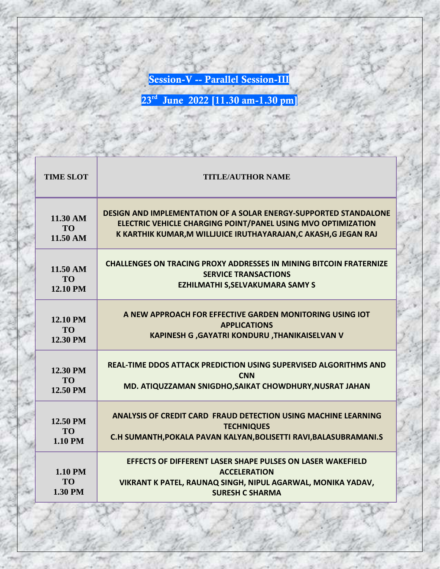**Session-V -- Parallel Session-III**

| <b>TIME SLOT</b>                | <b>TITLE/AUTHOR NAME</b>                                                                                                                                                   |
|---------------------------------|----------------------------------------------------------------------------------------------------------------------------------------------------------------------------|
| 11.30 AM                        | <b>DESIGN AND IMPLEMENTATION OF A SOLAR ENERGY-SUPPORTED STANDALONE</b>                                                                                                    |
| <b>TO</b>                       | ELECTRIC VEHICLE CHARGING POINT/PANEL USING MVO OPTIMIZATION                                                                                                               |
| 11.50 AM                        | K KARTHIK KUMAR, M WILLJUICE IRUTHAYARAJAN, C AKASH, G JEGAN RAJ                                                                                                           |
| $11.50 \text{ AM}$              | <b>CHALLENGES ON TRACING PROXY ADDRESSES IN MINING BITCOIN FRATERNIZE</b>                                                                                                  |
| <b>TO</b>                       | <b>SERVICE TRANSACTIONS</b>                                                                                                                                                |
| <b>12.10 PM</b>                 | <b>EZHILMATHI S, SELVAKUMARA SAMY S</b>                                                                                                                                    |
| <b>12.10 PM</b>                 | A NEW APPROACH FOR EFFECTIVE GARDEN MONITORING USING IOT                                                                                                                   |
| <b>TO</b>                       | <b>APPLICATIONS</b>                                                                                                                                                        |
| 12.30 PM                        | KAPINESH G , GAYATRI KONDURU , THANIKAISELVAN V                                                                                                                            |
| 12.30 PM                        | REAL-TIME DDOS ATTACK PREDICTION USING SUPERVISED ALGORITHMS AND                                                                                                           |
| <b>TO</b>                       | <b>CNN</b>                                                                                                                                                                 |
| 12.50 PM                        | MD. ATIQUZZAMAN SNIGDHO, SAIKAT CHOWDHURY, NUSRAT JAHAN                                                                                                                    |
| 12.50 PM                        | <b>ANALYSIS OF CREDIT CARD FRAUD DETECTION USING MACHINE LEARNING</b>                                                                                                      |
| <b>TO</b>                       | <b>TECHNIQUES</b>                                                                                                                                                          |
| 1.10 PM                         | C.H SUMANTH, POKALA PAVAN KALYAN, BOLISETTI RAVI, BALASUBRAMANI.S                                                                                                          |
| 1.10 PM<br><b>TO</b><br>1.30 PM | EFFECTS OF DIFFERENT LASER SHAPE PULSES ON LASER WAKEFIELD<br><b>ACCELERATION</b><br>VIKRANT K PATEL, RAUNAQ SINGH, NIPUL AGARWAL, MONIKA YADAV,<br><b>SURESH C SHARMA</b> |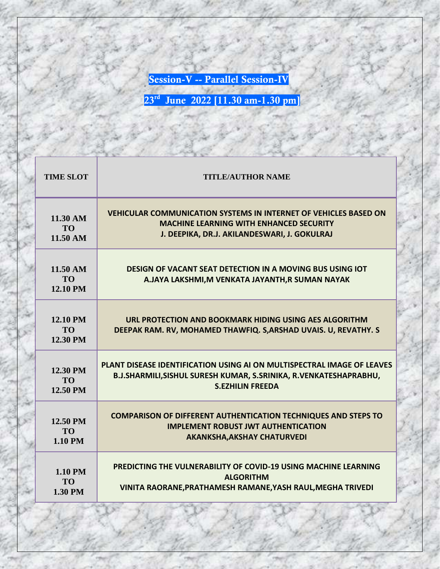**Session-V -- Parallel Session-IV**

| <b>TIME SLOT</b>                              | <b>TITLE/AUTHOR NAME</b>                                                                                                  |
|-----------------------------------------------|---------------------------------------------------------------------------------------------------------------------------|
| 11.30 AM                                      | <b>VEHICULAR COMMUNICATION SYSTEMS IN INTERNET OF VEHICLES BASED ON</b>                                                   |
| T <sub>O</sub>                                | <b>MACHINE LEARNING WITH ENHANCED SECURITY</b>                                                                            |
| $11.50 \text{ AM}$                            | J. DEEPIKA, DR.J. AKILANDESWARI, J. GOKULRAJ                                                                              |
| 11.50 AM<br><b>TO</b><br><b>12.10 PM</b>      | <b>DESIGN OF VACANT SEAT DETECTION IN A MOVING BUS USING IOT</b><br>A.JAYA LAKSHMI, M VENKATA JAYANTH, R SUMAN NAYAK      |
| <b>12.10 PM</b><br>T <sub>O</sub><br>12.30 PM | URL PROTECTION AND BOOKMARK HIDING USING AES ALGORITHM<br>DEEPAK RAM. RV, MOHAMED THAWFIQ. S, ARSHAD UVAIS. U, REVATHY. S |
| 12.30 PM                                      | <b>PLANT DISEASE IDENTIFICATION USING AI ON MULTISPECTRAL IMAGE OF LEAVES</b>                                             |
| <b>TO</b>                                     | B.J.SHARMILI, SISHUL SURESH KUMAR, S.SRINIKA, R.VENKATESHAPRABHU,                                                         |
| 12.50 PM                                      | <b>S.EZHILIN FREEDA</b>                                                                                                   |
| 12.50 PM                                      | <b>COMPARISON OF DIFFERENT AUTHENTICATION TECHNIQUES AND STEPS TO</b>                                                     |
| <b>TO</b>                                     | <b>IMPLEMENT ROBUST JWT AUTHENTICATION</b>                                                                                |
| 1.10 PM                                       | <b>AKANKSHA, AKSHAY CHATURVEDI</b>                                                                                        |
| <b>1.10 PM</b>                                | <b>PREDICTING THE VULNERABILITY OF COVID-19 USING MACHINE LEARNING</b>                                                    |
| T <sub>O</sub>                                | <b>ALGORITHM</b>                                                                                                          |
| 1.30 PM                                       | VINITA RAORANE, PRATHAMESH RAMANE, YASH RAUL, MEGHA TRIVEDI                                                               |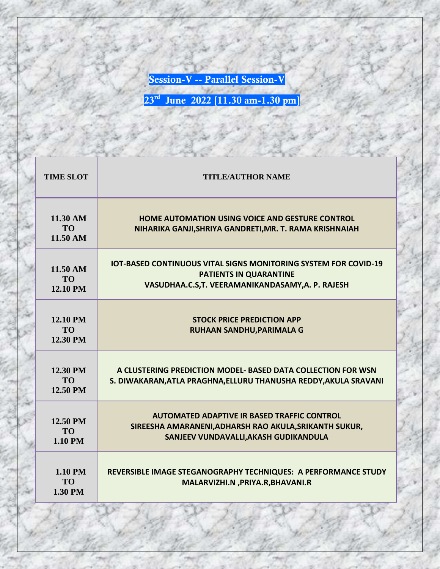**Session-V -- Parallel Session-V**

| <b>TIME SLOT</b>                            | <b>TITLE/AUTHOR NAME</b>                                                                                                                                   |
|---------------------------------------------|------------------------------------------------------------------------------------------------------------------------------------------------------------|
| 11.30 AM<br><b>TO</b><br>11.50 AM           | HOME AUTOMATION USING VOICE AND GESTURE CONTROL<br>NIHARIKA GANJI, SHRIYA GANDRETI, MR. T. RAMA KRISHNAIAH                                                 |
| $11.50 \text{ AM}$<br>TO<br><b>12.10 PM</b> | <b>IOT-BASED CONTINUOUS VITAL SIGNS MONITORING SYSTEM FOR COVID-19</b><br><b>PATIENTS IN QUARANTINE</b><br>VASUDHAA.C.S,T. VEERAMANIKANDASAMY,A. P. RAJESH |
| <b>12.10 PM</b><br><b>TO</b><br>12.30 PM    | <b>STOCK PRICE PREDICTION APP</b><br><b>RUHAAN SANDHU, PARIMALA G</b>                                                                                      |
| 12.30 PM<br><b>TO</b><br>12.50 PM           | A CLUSTERING PREDICTION MODEL-BASED DATA COLLECTION FOR WSN<br>S. DIWAKARAN, ATLA PRAGHNA, ELLURU THANUSHA REDDY, AKULA SRAVANI                            |
| 12.50 PM<br><b>TO</b><br><b>1.10 PM</b>     | <b>AUTOMATED ADAPTIVE IR BASED TRAFFIC CONTROL</b><br>SIREESHA AMARANENI, ADHARSH RAO AKULA, SRIKANTH SUKUR,<br>SANJEEV VUNDAVALLI, AKASH GUDIKANDULA      |
| <b>1.10 PM</b><br><b>TO</b><br>1.30 PM      | REVERSIBLE IMAGE STEGANOGRAPHY TECHNIQUES: A PERFORMANCE STUDY<br>MALARVIZHI.N, PRIYA.R, BHAVANI.R                                                         |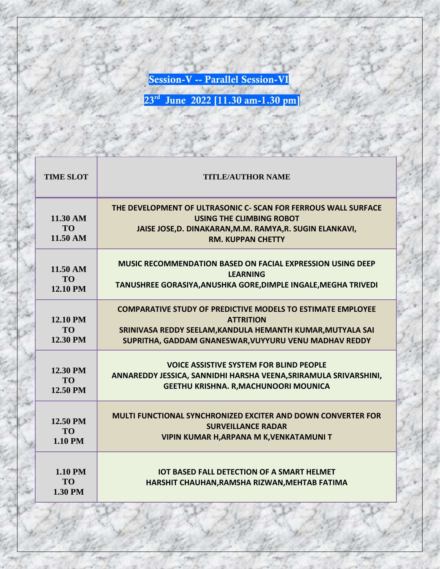**Session-V -- Parallel Session-VI**

| <b>TIME SLOT</b>                         | <b>TITLE/AUTHOR NAME</b>                                                                                                                                                                                      |
|------------------------------------------|---------------------------------------------------------------------------------------------------------------------------------------------------------------------------------------------------------------|
| 11.30 AM<br>T <sub>O</sub><br>11.50 AM   | THE DEVELOPMENT OF ULTRASONIC C- SCAN FOR FERROUS WALL SURFACE<br><b>USING THE CLIMBING ROBOT</b><br>JAISE JOSE, D. DINAKARAN, M.M. RAMYA, R. SUGIN ELANKAVI,<br><b>RM. KUPPAN CHETTY</b>                     |
| 11.50 AM<br><b>TO</b><br><b>12.10 PM</b> | <b>MUSIC RECOMMENDATION BASED ON FACIAL EXPRESSION USING DEEP</b><br>LFARNING<br>TANUSHREE GORASIYA, ANUSHKA GORE, DIMPLE INGALE, MEGHA TRIVEDI                                                               |
| 12.10 PM<br><b>TO</b><br>12.30 PM        | <b>COMPARATIVE STUDY OF PREDICTIVE MODELS TO ESTIMATE EMPLOYEE</b><br><b>ATTRITION</b><br>SRINIVASA REDDY SEELAM, KANDULA HEMANTH KUMAR, MUTYALA SAI<br>SUPRITHA, GADDAM GNANESWAR, VUYYURU VENU MADHAV REDDY |
| 12.30 PM<br><b>TO</b><br>12.50 PM        | <b>VOICE ASSISTIVE SYSTEM FOR BLIND PEOPLE</b><br>ANNAREDDY JESSICA, SANNIDHI HARSHA VEENA, SRIRAMULA SRIVARSHINI,<br>GEETHU KRISHNA. R, MACHUNOORI MOUNICA                                                   |
| 12.50 PM<br><b>TO</b><br><b>1.10 PM</b>  | <b>MULTI FUNCTIONAL SYNCHRONIZED EXCITER AND DOWN CONVERTER FOR</b><br><b>SURVEILLANCE RADAR</b><br><b>VIPIN KUMAR H, ARPANA M K, VENKATAMUNI T</b>                                                           |
| 1.10 PM<br><b>TO</b><br>1.30 PM          | <b>IOT BASED FALL DETECTION OF A SMART HELMET</b><br>HARSHIT CHAUHAN, RAMSHA RIZWAN, MEHTAB FATIMA                                                                                                            |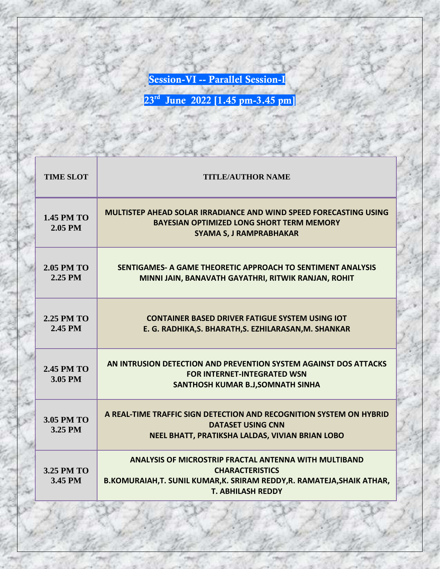**Session-VI -- Parallel Session-I**

| <b>TIME SLOT</b>             | <b>TITLE/AUTHOR NAME</b>                                                                                                                                                                  |
|------------------------------|-------------------------------------------------------------------------------------------------------------------------------------------------------------------------------------------|
| <b>1.45 PM TO</b><br>2.05 PM | <b>MULTISTEP AHEAD SOLAR IRRADIANCE AND WIND SPEED FORECASTING USING</b><br><b>BAYESIAN OPTIMIZED LONG SHORT TERM MEMORY</b><br><b>SYAMA S, J RAMPRABHAKAR</b>                            |
| <b>2.05 PM TO</b><br>2.25 PM | SENTIGAMES- A GAME THEORETIC APPROACH TO SENTIMENT ANALYSIS<br>MINNI JAIN, BANAVATH GAYATHRI, RITWIK RANJAN, ROHIT                                                                        |
| <b>2.25 PM TO</b><br>2.45 PM | <b>CONTAINER BASED DRIVER FATIGUE SYSTEM USING IOT</b><br>E. G. RADHIKA, S. BHARATH, S. EZHILARASAN, M. SHANKAR                                                                           |
| <b>2.45 PM TO</b><br>3.05 PM | AN INTRUSION DETECTION AND PREVENTION SYSTEM AGAINST DOS ATTACKS<br><b>FOR INTERNET-INTEGRATED WSN</b><br>SANTHOSH KUMAR B.J, SOMNATH SINHA                                               |
| 3.05 PM TO<br>3.25 PM        | A REAL-TIME TRAFFIC SIGN DETECTION AND RECOGNITION SYSTEM ON HYBRID<br><b>DATASET USING CNN</b><br>NEEL BHATT, PRATIKSHA LALDAS, VIVIAN BRIAN LOBO                                        |
| 3.25 PM TO<br>3.45 PM        | <b>ANALYSIS OF MICROSTRIP FRACTAL ANTENNA WITH MULTIBAND</b><br><b>CHARACTERISTICS</b><br>B.KOMURAIAH,T. SUNIL KUMAR,K. SRIRAM REDDY,R. RAMATEJA,SHAIK ATHAR,<br><b>T. ABHILASH REDDY</b> |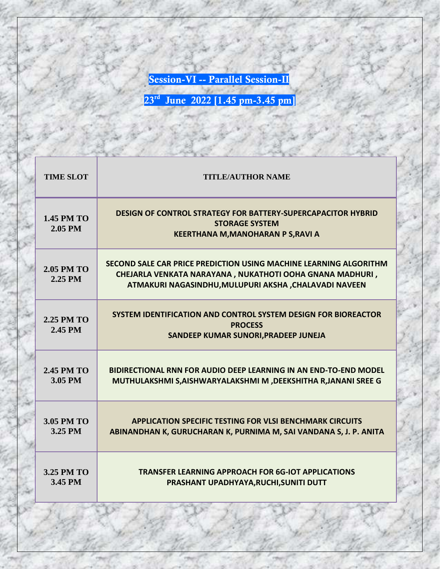**Session-VI -- Parallel Session-II**

| <b>TIME SLOT</b>             | <b>TITLE/AUTHOR NAME</b>                                                                                                                                                                |
|------------------------------|-----------------------------------------------------------------------------------------------------------------------------------------------------------------------------------------|
| <b>1.45 PM TO</b><br>2.05 PM | <b>DESIGN OF CONTROL STRATEGY FOR BATTERY-SUPERCAPACITOR HYBRID</b><br><b>STORAGE SYSTEM</b><br><b>KEERTHANA M, MANOHARAN P S, RAVI A</b>                                               |
| <b>2.05 PM TO</b><br>2.25 PM | SECOND SALE CAR PRICE PREDICTION USING MACHINE LEARNING ALGORITHM<br>CHEJARLA VENKATA NARAYANA, NUKATHOTI OOHA GNANA MADHURI,<br>ATMAKURI NAGASINDHU, MULUPURI AKSHA , CHALAVADI NAVEEN |
| <b>2.25 PM TO</b><br>2.45 PM | SYSTEM IDENTIFICATION AND CONTROL SYSTEM DESIGN FOR BIOREACTOR<br><b>PROCESS</b><br>SANDEEP KUMAR SUNORI, PRADEEP JUNEJA                                                                |
| <b>2.45 PM TO</b><br>3.05 PM | <b>BIDIRECTIONAL RNN FOR AUDIO DEEP LEARNING IN AN END-TO-END MODEL</b><br>MUTHULAKSHMI S, AISHWARYALAKSHMI M , DEEKSHITHA R, JANANI SREE G                                             |
| 3.05 PM TO<br>3.25 PM        | <b>APPLICATION SPECIFIC TESTING FOR VLSI BENCHMARK CIRCUITS</b><br>ABINANDHAN K, GURUCHARAN K, PURNIMA M, SAI VANDANA S, J. P. ANITA                                                    |
| 3.25 PM TO<br>3.45 PM        | <b>TRANSFER LEARNING APPROACH FOR 6G-IOT APPLICATIONS</b><br>PRASHANT UPADHYAYA, RUCHI, SUNITI DUTT                                                                                     |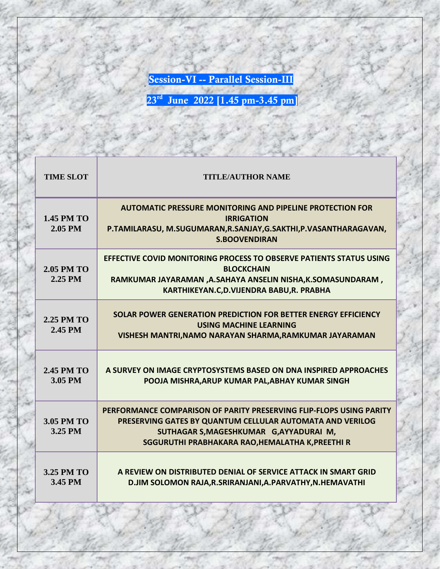**Session-VI -- Parallel Session-III**

| <b>TIME SLOT</b>             | <b>TITLE/AUTHOR NAME</b>                                                                                                                                                                                                        |
|------------------------------|---------------------------------------------------------------------------------------------------------------------------------------------------------------------------------------------------------------------------------|
| <b>1.45 PM TO</b><br>2.05 PM | <b>AUTOMATIC PRESSURE MONITORING AND PIPELINE PROTECTION FOR</b><br><b>IRRIGATION</b><br>P.TAMILARASU, M.SUGUMARAN, R.SANJAY, G.SAKTHI, P.VASANTHARAGAVAN,<br><b>S.BOOVENDIRAN</b>                                              |
| <b>2.05 PM TO</b><br>2.25 PM | <b>EFFECTIVE COVID MONITORING PROCESS TO OBSERVE PATIENTS STATUS USING</b><br><b>BLOCKCHAIN</b><br>RAMKUMAR JAYARAMAN ,A.SAHAYA ANSELIN NISHA,K.SOMASUNDARAM,<br>KARTHIKEYAN.C,D.VIJENDRA BABU,R. PRABHA                        |
| <b>2.25 PM TO</b><br>2.45 PM | SOLAR POWER GENERATION PREDICTION FOR BETTER ENERGY EFFICIENCY<br><b>USING MACHINE LEARNING</b><br>VISHESH MANTRI, NAMO NARAYAN SHARMA, RAMKUMAR JAYARAMAN                                                                      |
| <b>2.45 PM TO</b><br>3.05 PM | A SURVEY ON IMAGE CRYPTOSYSTEMS BASED ON DNA INSPIRED APPROACHES<br>POOJA MISHRA, ARUP KUMAR PAL, ABHAY KUMAR SINGH                                                                                                             |
| 3.05 PM TO<br>3.25 PM        | PERFORMANCE COMPARISON OF PARITY PRESERVING FLIP-FLOPS USING PARITY<br>PRESERVING GATES BY QUANTUM CELLULAR AUTOMATA AND VERILOG<br>SUTHAGAR S, MAGESHKUMAR G, AYYADURAI M,<br>SGGURUTHI PRABHAKARA RAO, HEMALATHA K, PREETHI R |
| 3.25 PM TO<br>3.45 PM        | A REVIEW ON DISTRIBUTED DENIAL OF SERVICE ATTACK IN SMART GRID<br>D.JIM SOLOMON RAJA, R.SRIRANJANI, A.PARVATHY, N.HEMAVATHI                                                                                                     |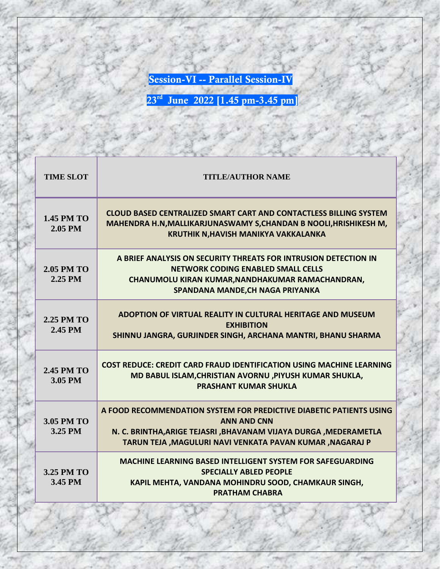**Session-VI -- Parallel Session-IV**

| <b>TIME SLOT</b>             | <b>TITLE/AUTHOR NAME</b>                                                                                                                                                                                                      |
|------------------------------|-------------------------------------------------------------------------------------------------------------------------------------------------------------------------------------------------------------------------------|
| <b>1.45 PM TO</b><br>2.05 PM | <b>CLOUD BASED CENTRALIZED SMART CART AND CONTACTLESS BILLING SYSTEM</b><br>MAHENDRA H.N, MALLIKARJUNASWAMY S, CHANDAN B NOOLI, HRISHIKESH M,<br>KRUTHIK N, HAVISH MANIKYA VAKKALANKA                                         |
| <b>2.05 PM TO</b><br>2.25 PM | A BRIEF ANALYSIS ON SECURITY THREATS FOR INTRUSION DETECTION IN<br><b>NETWORK CODING ENABLED SMALL CELLS</b><br>CHANUMOLU KIRAN KUMAR, NANDHAKUMAR RAMACHANDRAN,<br>SPANDANA MANDE, CH NAGA PRIYANKA                          |
| 2.25 PM TO<br>2.45 PM        | ADOPTION OF VIRTUAL REALITY IN CULTURAL HERITAGE AND MUSEUM<br><b>EXHIBITION</b><br>SHINNU JANGRA, GURJINDER SINGH, ARCHANA MANTRI, BHANU SHARMA                                                                              |
| <b>2.45 PM TO</b><br>3.05 PM | <b>COST REDUCE: CREDIT CARD FRAUD IDENTIFICATION USING MACHINE LEARNING</b><br>MD BABUL ISLAM, CHRISTIAN AVORNU, PIYUSH KUMAR SHUKLA,<br><b>PRASHANT KUMAR SHUKLA</b>                                                         |
| 3.05 PM TO<br>3.25 PM        | A FOOD RECOMMENDATION SYSTEM FOR PREDICTIVE DIABETIC PATIENTS USING<br><b>ANN AND CNN</b><br>N. C. BRINTHA, ARIGE TEJASRI , BHAVANAM VIJAYA DURGA , MEDERAMETLA<br>TARUN TEJA , MAGULURI NAVI VENKATA PAVAN KUMAR , NAGARAJ P |
| 3.25 PM TO<br>3.45 PM        | <b>MACHINE LEARNING BASED INTELLIGENT SYSTEM FOR SAFEGUARDING</b><br><b>SPECIALLY ABLED PEOPLE</b><br>KAPIL MEHTA, VANDANA MOHINDRU SOOD, CHAMKAUR SINGH,<br><b>PRATHAM CHABRA</b>                                            |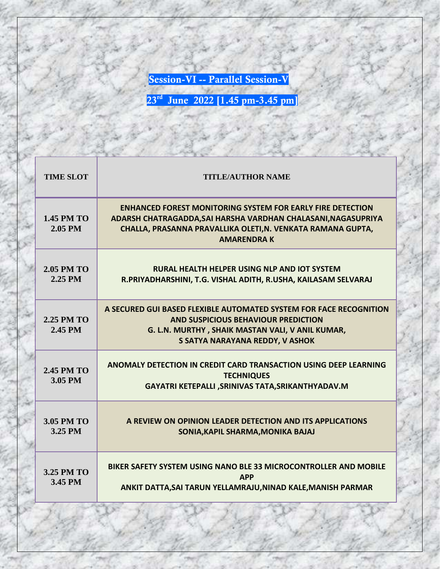**Session-VI -- Parallel Session-V**

| <b>TIME SLOT</b>             | <b>TITLE/AUTHOR NAME</b>                                                                                                                                                                                               |
|------------------------------|------------------------------------------------------------------------------------------------------------------------------------------------------------------------------------------------------------------------|
| <b>1.45 PM TO</b><br>2.05 PM | <b>ENHANCED FOREST MONITORING SYSTEM FOR EARLY FIRE DETECTION</b><br>ADARSH CHATRAGADDA, SAI HARSHA VARDHAN CHALASANI, NAGASUPRIYA<br>CHALLA, PRASANNA PRAVALLIKA OLETI, N. VENKATA RAMANA GUPTA,<br><b>AMARENDRAK</b> |
| <b>2.05 PM TO</b><br>2.25 PM | <b>RURAL HEALTH HELPER USING NLP AND IOT SYSTEM</b><br>R.PRIYADHARSHINI, T.G. VISHAL ADITH, R.USHA, KAILASAM SELVARAJ                                                                                                  |
| 2.25 PM TO<br>2.45 PM        | A SECURED GUI BASED FLEXIBLE AUTOMATED SYSTEM FOR FACE RECOGNITION<br><b>AND SUSPICIOUS BEHAVIOUR PREDICTION</b><br>G. L.N. MURTHY, SHAIK MASTAN VALI, V ANIL KUMAR,<br>S SATYA NARAYANA REDDY, V ASHOK                |
| <b>2.45 PM TO</b><br>3.05 PM | ANOMALY DETECTION IN CREDIT CARD TRANSACTION USING DEEP LEARNING<br><b>TECHNIQUES</b><br>GAYATRI KETEPALLI , SRINIVAS TATA, SRIKANTHYADAV.M                                                                            |
| 3.05 PM TO<br>3.25 PM        | A REVIEW ON OPINION LEADER DETECTION AND ITS APPLICATIONS<br>SONIA, KAPIL SHARMA, MONIKA BAJAJ                                                                                                                         |
| 3.25 PM TO<br>3.45 PM        | BIKER SAFETY SYSTEM USING NANO BLE 33 MICROCONTROLLER AND MOBILE<br><b>APP</b><br>ANKIT DATTA, SAI TARUN YELLAMRAJU, NINAD KALE, MANISH PARMAR                                                                         |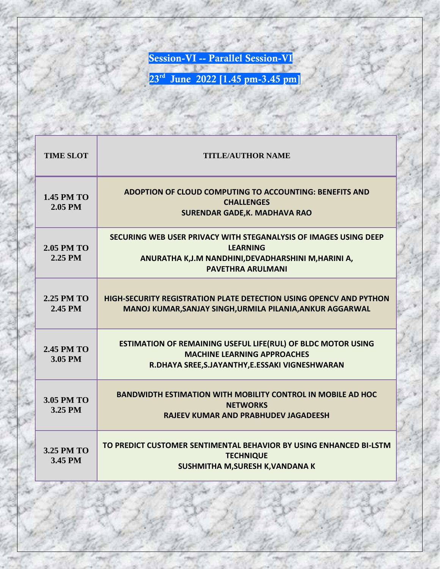**Session-VI -- Parallel Session-VI**

| <b>TIME SLOT</b>             | <b>TITLE/AUTHOR NAME</b>                                                                                                                                               |
|------------------------------|------------------------------------------------------------------------------------------------------------------------------------------------------------------------|
| <b>1.45 PM TO</b><br>2.05 PM | ADOPTION OF CLOUD COMPUTING TO ACCOUNTING: BENEFITS AND<br><b>CHALLENGES</b><br><b>SURENDAR GADE, K. MADHAVA RAO</b>                                                   |
| <b>2.05 PM TO</b><br>2.25 PM | SECURING WEB USER PRIVACY WITH STEGANALYSIS OF IMAGES USING DEEP<br><b>LFARNING</b><br>ANURATHA K,J.M NANDHINI, DEVADHARSHINI M, HARINI A,<br><b>PAVETHRA ARULMANI</b> |
| <b>2.25 PM TO</b><br>2.45 PM | <b>HIGH-SECURITY REGISTRATION PLATE DETECTION USING OPENCY AND PYTHON</b><br>MANOJ KUMAR, SANJAY SINGH, URMILA PILANIA, ANKUR AGGARWAL                                 |
| <b>2.45 PM TO</b><br>3.05 PM | <b>ESTIMATION OF REMAINING USEFUL LIFE(RUL) OF BLDC MOTOR USING</b><br><b>MACHINE LEARNING APPROACHES</b><br>R.DHAYA SREE, S.JAYANTHY, E.ESSAKI VIGNESHWARAN           |
| 3.05 PM TO<br>3.25 PM        | <b>BANDWIDTH ESTIMATION WITH MOBILITY CONTROL IN MOBILE AD HOC</b><br><b>NETWORKS</b><br><b>RAJEEV KUMAR AND PRABHUDEV JAGADEESH</b>                                   |
| 3.25 PM TO<br>3.45 PM        | TO PREDICT CUSTOMER SENTIMENTAL BEHAVIOR BY USING ENHANCED BI-LSTM<br><b>TECHNIQUE</b><br>SUSHMITHA M, SURESH K, VANDANA K                                             |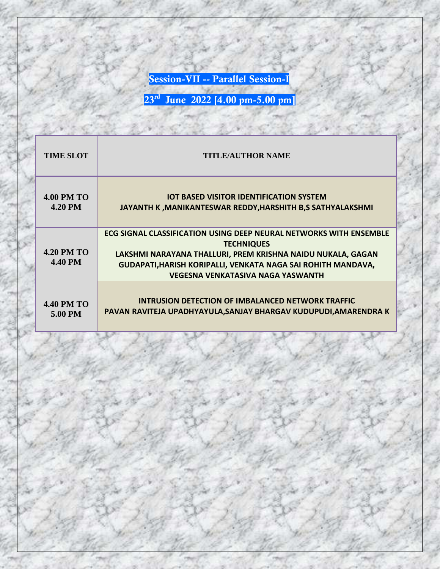**Session-VII -- Parallel Session-I**

| <b>TIME SLOT</b>                    | <b>TITLE/AUTHOR NAME</b>                                                                                                                                                                                                                                           |
|-------------------------------------|--------------------------------------------------------------------------------------------------------------------------------------------------------------------------------------------------------------------------------------------------------------------|
| <b>4.00 PM TO</b>                   | <b>IOT BASED VISITOR IDENTIFICATION SYSTEM</b>                                                                                                                                                                                                                     |
| <b>4.20 PM</b>                      | JAYANTH K, MANIKANTESWAR REDDY, HARSHITH B,S SATHYALAKSHMI                                                                                                                                                                                                         |
| <b>4.20 PM TO</b><br><b>4.40 PM</b> | ECG SIGNAL CLASSIFICATION USING DEEP NEURAL NETWORKS WITH ENSEMBLE<br><b>TECHNIQUES</b><br>LAKSHMI NARAYANA THALLURI, PREM KRISHNA NAIDU NUKALA, GAGAN<br>GUDAPATI, HARISH KORIPALLI, VENKATA NAGA SAI ROHITH MANDAVA,<br><b>VEGESNA VENKATASIVA NAGA YASWANTH</b> |
| <b>4.40 PM TO</b>                   | <b>INTRUSION DETECTION OF IMBALANCED NETWORK TRAFFIC</b>                                                                                                                                                                                                           |
| 5.00 PM                             | PAVAN RAVITEJA UPADHYAYULA, SANJAY BHARGAV KUDUPUDI, AMARENDRA K                                                                                                                                                                                                   |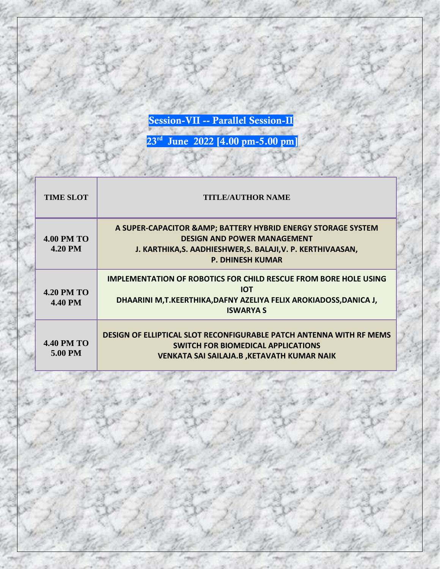**Session-VII -- Parallel Session-II**

| <b>TIME SLOT</b>                    | <b>TITLE/AUTHOR NAME</b>                                                                                                                                                                      |
|-------------------------------------|-----------------------------------------------------------------------------------------------------------------------------------------------------------------------------------------------|
| <b>4.00 PM TO</b><br><b>4.20 PM</b> | A SUPER-CAPACITOR & AMP; BATTERY HYBRID ENERGY STORAGE SYSTEM<br><b>DESIGN AND POWER MANAGEMENT</b><br>J. KARTHIKA, S. AADHIESHWER, S. BALAJI, V. P. KERTHIVAASAN,<br><b>P. DHINESH KUMAR</b> |
| <b>4.20 PM TO</b><br><b>4.40 PM</b> | <b>IMPLEMENTATION OF ROBOTICS FOR CHILD RESCUE FROM BORE HOLE USING</b><br><b>IOT</b><br>DHAARINI M,T.KEERTHIKA,DAFNY AZELIYA FELIX AROKIADOSS,DANICA J,<br><b>ISWARYA S</b>                  |
| <b>4.40 PM TO</b><br>5.00 PM        | DESIGN OF ELLIPTICAL SLOT RECONFIGURABLE PATCH ANTENNA WITH RF MEMS<br><b>SWITCH FOR BIOMEDICAL APPLICATIONS</b><br><b>VENKATA SAI SAILAJA.B, KETAVATH KUMAR NAIK</b>                         |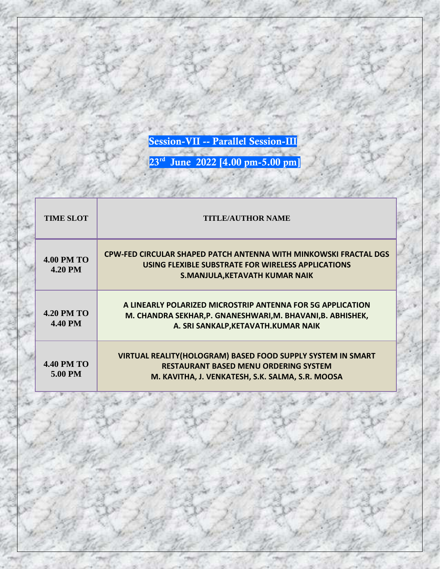**Session-VII -- Parallel Session-III**

| <b>TIME SLOT</b>                    | <b>TITLE/AUTHOR NAME</b>                                                                                                                                               |
|-------------------------------------|------------------------------------------------------------------------------------------------------------------------------------------------------------------------|
| <b>4.00 PM TO</b><br><b>4.20 PM</b> | <b>CPW-FED CIRCULAR SHAPED PATCH ANTENNA WITH MINKOWSKI FRACTAL DGS</b><br>USING FLEXIBLE SUBSTRATE FOR WIRELESS APPLICATIONS<br><b>S.MANJULA, KETAVATH KUMAR NAIK</b> |
| <b>4.20 PM TO</b><br><b>4.40 PM</b> | A LINEARLY POLARIZED MICROSTRIP ANTENNA FOR 5G APPLICATION<br>M. CHANDRA SEKHAR, P. GNANESHWARI, M. BHAVANI, B. ABHISHEK,<br>A. SRI SANKALP, KETAVATH. KUMAR NAIK      |
| <b>4.40 PM TO</b><br>5.00 PM        | VIRTUAL REALITY(HOLOGRAM) BASED FOOD SUPPLY SYSTEM IN SMART<br><b>RESTAURANT BASED MENU ORDERING SYSTEM</b><br>M. KAVITHA, J. VENKATESH, S.K. SALMA, S.R. MOOSA        |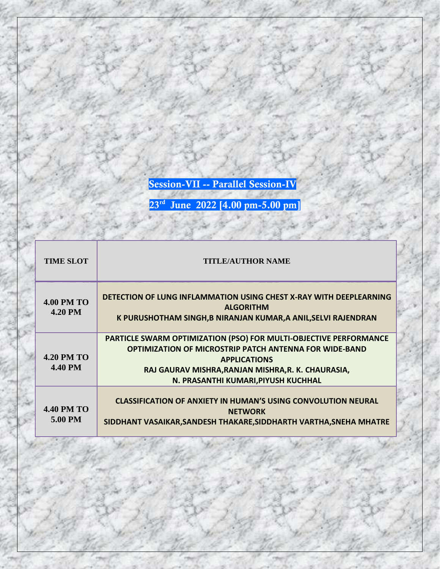**Session-VII -- Parallel Session-IV**

| <b>TIME SLOT</b>                    | <b>TITLE/AUTHOR NAME</b>                                                                                                                                                                                                                               |
|-------------------------------------|--------------------------------------------------------------------------------------------------------------------------------------------------------------------------------------------------------------------------------------------------------|
| <b>4.00 PM TO</b><br><b>4.20 PM</b> | <b>DETECTION OF LUNG INFLAMMATION USING CHEST X-RAY WITH DEEPLEARNING</b><br><b>ALGORITHM</b><br>K PURUSHOTHAM SINGH,B NIRANJAN KUMAR,A ANIL,SELVI RAJENDRAN                                                                                           |
| <b>4.20 PM TO</b><br><b>4.40 PM</b> | PARTICLE SWARM OPTIMIZATION (PSO) FOR MULTI-OBJECTIVE PERFORMANCE<br><b>OPTIMIZATION OF MICROSTRIP PATCH ANTENNA FOR WIDE-BAND</b><br><b>APPLICATIONS</b><br>RAJ GAURAV MISHRA, RANJAN MISHRA, R. K. CHAURASIA,<br>N. PRASANTHI KUMARI, PIYUSH KUCHHAL |
| <b>4.40 PM TO</b><br>5.00 PM        | <b>CLASSIFICATION OF ANXIETY IN HUMAN'S USING CONVOLUTION NEURAL</b><br><b>NETWORK</b><br>SIDDHANT VASAIKAR, SANDESH THAKARE, SIDDHARTH VARTHA, SNEHA MHATRE                                                                                           |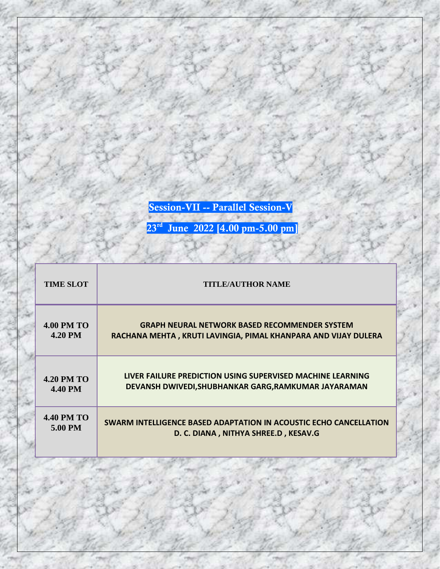**Session-VII -- Parallel Session-V**

| <b>TIME SLOT</b>  | <b>TITLE/AUTHOR NAME</b>                                          |
|-------------------|-------------------------------------------------------------------|
| <b>4.00 PM TO</b> | <b>GRAPH NEURAL NETWORK BASED RECOMMENDER SYSTEM</b>              |
| <b>4.20 PM</b>    | RACHANA MEHTA, KRUTI LAVINGIA, PIMAL KHANPARA AND VIJAY DULERA    |
| <b>4.20 PM TO</b> | LIVER FAILURE PREDICTION USING SUPERVISED MACHINE LEARNING        |
| <b>4.40 PM</b>    | DEVANSH DWIVEDI, SHUBHANKAR GARG, RAMKUMAR JAYARAMAN              |
| <b>4.40 PM TO</b> | SWARM INTELLIGENCE BASED ADAPTATION IN ACOUSTIC ECHO CANCELLATION |
| 5.00 PM           | D. C. DIANA, NITHYA SHREE.D, KESAV.G                              |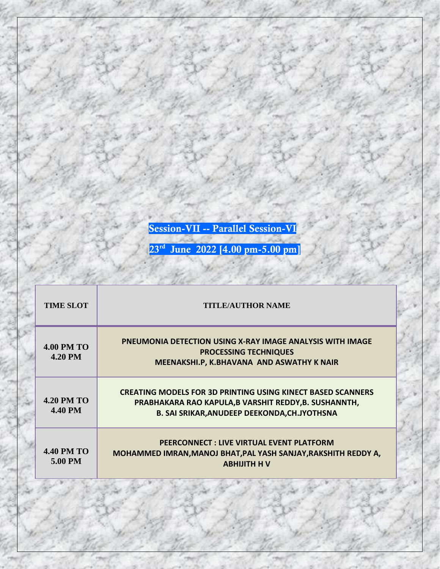**Session-VII -- Parallel Session-VI**

| <b>TIME SLOT</b>                    | <b>TITLE/AUTHOR NAME</b>                                                                                                                                                           |
|-------------------------------------|------------------------------------------------------------------------------------------------------------------------------------------------------------------------------------|
| <b>4.00 PM TO</b><br><b>4.20 PM</b> | <b>PNEUMONIA DETECTION USING X-RAY IMAGE ANALYSIS WITH IMAGE</b><br><b>PROCESSING TECHNIQUES</b><br>MEENAKSHI.P, K.BHAVANA AND ASWATHY K NAIR                                      |
| <b>4.20 PM TO</b><br><b>4.40 PM</b> | <b>CREATING MODELS FOR 3D PRINTING USING KINECT BASED SCANNERS</b><br>PRABHAKARA RAO KAPULA, B VARSHIT REDDY, B. SUSHANNTH,<br><b>B. SAI SRIKAR, ANUDEEP DEEKONDA, CH.JYOTHSNA</b> |
| <b>4.40 PM TO</b><br>5.00 PM        | PEERCONNECT: LIVE VIRTUAL EVENT PLATFORM<br>MOHAMMED IMRAN, MANOJ BHAT, PAL YASH SANJAY, RAKSHITH REDDY A,<br><b>ABHIJITH HV</b>                                                   |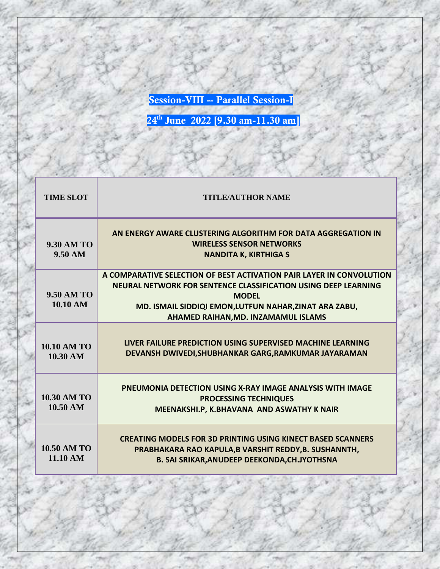**Session-VIII -- Parallel Session-I**

| <b>TIME SLOT</b>                         | <b>TITLE/AUTHOR NAME</b>                                                                                                                                                                                                                                |
|------------------------------------------|---------------------------------------------------------------------------------------------------------------------------------------------------------------------------------------------------------------------------------------------------------|
| <b>9.30 AM TO</b><br>$9.50 \text{ AM}$   | AN ENERGY AWARE CLUSTERING ALGORITHM FOR DATA AGGREGATION IN<br><b>WIRELESS SENSOR NETWORKS</b><br><b>NANDITA K, KIRTHIGA S</b>                                                                                                                         |
| <b>9.50 AM TO</b><br>10.10 AM            | A COMPARATIVE SELECTION OF BEST ACTIVATION PAIR LAYER IN CONVOLUTION<br>NEURAL NETWORK FOR SENTENCE CLASSIFICATION USING DEEP LEARNING<br><b>MODFL</b><br>MD. ISMAIL SIDDIQI EMON, LUTFUN NAHAR, ZINAT ARA ZABU,<br>AHAMED RAIHAN, MD. INZAMAMUL ISLAMS |
| 10.10 AM TO<br>10.30 AM                  | LIVER FAILURE PREDICTION USING SUPERVISED MACHINE LEARNING<br>DEVANSH DWIVEDI, SHUBHANKAR GARG, RAMKUMAR JAYARAMAN                                                                                                                                      |
| <b>10.30 AM TO</b><br>$10.50 \text{ AM}$ | <b>PNEUMONIA DETECTION USING X-RAY IMAGE ANALYSIS WITH IMAGE</b><br><b>PROCESSING TECHNIQUES</b><br>MEENAKSHI.P, K.BHAVANA AND ASWATHY K NAIR                                                                                                           |
| 10.50 AM TO<br>11.10 AM                  | <b>CREATING MODELS FOR 3D PRINTING USING KINECT BASED SCANNERS</b><br>PRABHAKARA RAO KAPULA, B VARSHIT REDDY, B. SUSHANNTH,<br><b>B. SAI SRIKAR, ANUDEEP DEEKONDA, CH.JYOTHSNA</b>                                                                      |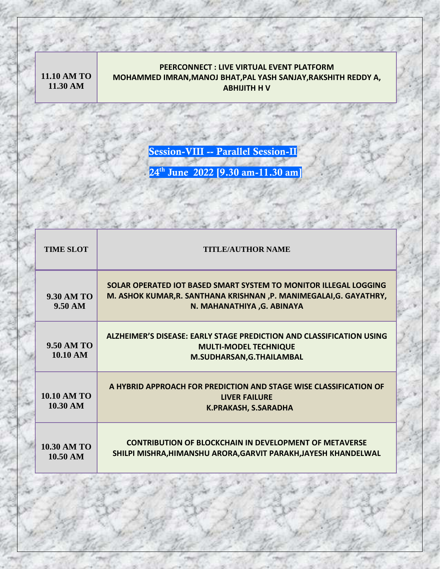**11.10 AM TO 11.30 AM**

## **PEERCONNECT : LIVE VIRTUAL EVENT PLATFORM MOHAMMED IMRAN,MANOJ BHAT,PAL YASH SANJAY,RAKSHITH REDDY A, ABHIJITH H V**

**Session-VIII -- Parallel Session-II**

| <b>TIME SLOT</b>                         | <b>TITLE/AUTHOR NAME</b>                                                                                                                                              |
|------------------------------------------|-----------------------------------------------------------------------------------------------------------------------------------------------------------------------|
| $9.30$ AM TO<br>$9.50 \text{ AM}$        | SOLAR OPERATED IOT BASED SMART SYSTEM TO MONITOR ILLEGAL LOGGING<br>M. ASHOK KUMAR, R. SANTHANA KRISHNAN, P. MANIMEGALAI, G. GAYATHRY,<br>N. MAHANATHIYA , G. ABINAYA |
| <b>9.50 AM TO</b><br>10.10 AM            | ALZHEIMER'S DISEASE: EARLY STAGE PREDICTION AND CLASSIFICATION USING<br><b>MULTI-MODEL TECHNIQUE</b><br>M.SUDHARSAN, G.THAILAMBAL                                     |
| 10.10 AM TO<br>10.30 AM                  | A HYBRID APPROACH FOR PREDICTION AND STAGE WISE CLASSIFICATION OF<br><b>LIVER FAILURE</b><br><b>K.PRAKASH, S.SARADHA</b>                                              |
| <b>10.30 AM TO</b><br>$10.50 \text{ AM}$ | <b>CONTRIBUTION OF BLOCKCHAIN IN DEVELOPMENT OF METAVERSE</b><br>SHILPI MISHRA, HIMANSHU ARORA, GARVIT PARAKH, JAYESH KHANDELWAL                                      |
|                                          |                                                                                                                                                                       |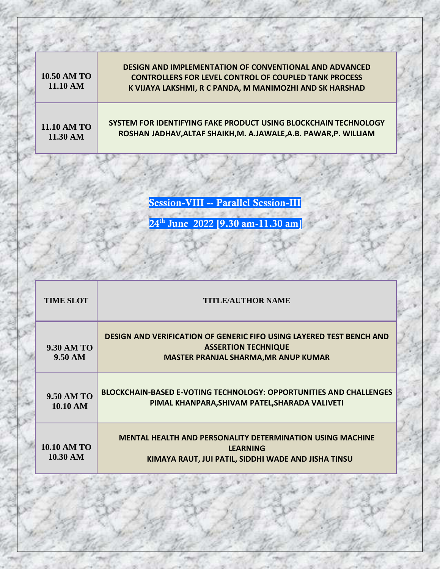| 10.50 AM TO<br>11.10 AM | <b>DESIGN AND IMPLEMENTATION OF CONVENTIONAL AND ADVANCED</b><br><b>CONTROLLERS FOR LEVEL CONTROL OF COUPLED TANK PROCESS</b><br>K VIJAYA LAKSHMI, R C PANDA, M MANIMOZHI AND SK HARSHAD |
|-------------------------|------------------------------------------------------------------------------------------------------------------------------------------------------------------------------------------|
| 11.10 AM TO             | SYSTEM FOR IDENTIFYING FAKE PRODUCT USING BLOCKCHAIN TECHNOLOGY                                                                                                                          |
| 11.30 AM                | ROSHAN JADHAV, ALTAF SHAIKH, M. A.JAWALE, A.B. PAWAR, P. WILLIAM                                                                                                                         |

**Session-VIII -- Parallel Session-III**

| <b>TIME SLOT</b>               | <b>TITLE/AUTHOR NAME</b>                                                                                                                                 |
|--------------------------------|----------------------------------------------------------------------------------------------------------------------------------------------------------|
| <b>9.30 AM TO</b><br>9.50 AM   | <b>DESIGN AND VERIFICATION OF GENERIC FIFO USING LAYERED TEST BENCH AND</b><br><b>ASSERTION TECHNIQUE</b><br><b>MASTER PRANJAL SHARMA, MR ANUP KUMAR</b> |
| <b>9.50 AM TO</b><br>10.10 AM  | <b>BLOCKCHAIN-BASED E-VOTING TECHNOLOGY: OPPORTUNITIES AND CHALLENGES</b><br>PIMAL KHANPARA, SHIVAM PATEL, SHARADA VALIVETI                              |
| <b>10.10 AM TO</b><br>10.30 AM | <b>MENTAL HEALTH AND PERSONALITY DETERMINATION USING MACHINE</b><br><b>LEARNING</b><br>KIMAYA RAUT, JUI PATIL, SIDDHI WADE AND JISHA TINSU               |
|                                |                                                                                                                                                          |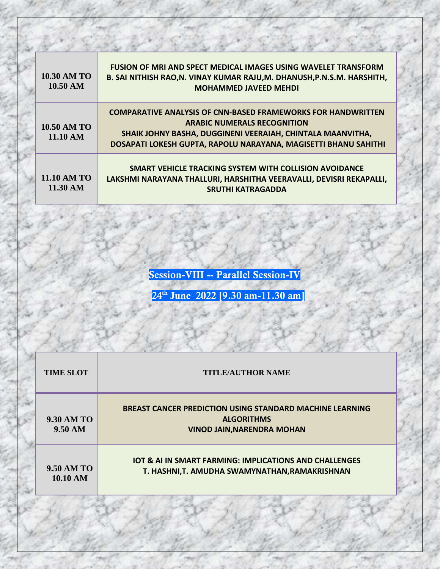| <b>10.30 AM TO</b><br>$10.50 \text{ AM}$ | <b>FUSION OF MRI AND SPECT MEDICAL IMAGES USING WAVELET TRANSFORM</b><br>B. SAI NITHISH RAO, N. VINAY KUMAR RAJU, M. DHANUSH, P.N.S.M. HARSHITH,<br><b>MOHAMMED JAVEED MEHDI</b>                                                           |
|------------------------------------------|--------------------------------------------------------------------------------------------------------------------------------------------------------------------------------------------------------------------------------------------|
| 10.50 AM TO<br>11.10 AM                  | <b>COMPARATIVE ANALYSIS OF CNN-BASED FRAMEWORKS FOR HANDWRITTEN</b><br><b>ARABIC NUMERALS RECOGNITION</b><br>SHAIK JOHNY BASHA, DUGGINENI VEERAIAH, CHINTALA MAANVITHA,<br>DOSAPATI LOKESH GUPTA, RAPOLU NARAYANA, MAGISETTI BHANU SAHITHI |
| <b>11.10 AM TO</b><br>$11.30 \text{ AM}$ | SMART VEHICLE TRACKING SYSTEM WITH COLLISION AVOIDANCE<br>LAKSHMI NARAYANA THALLURI, HARSHITHA VEERAVALLI, DEVISRI REKAPALLI,<br><b>SRUTHI KATRAGADDA</b>                                                                                  |

**Session-VIII -- Parallel Session-IV**

| <b>TIME SLOT</b>                | <b>TITLE/AUTHOR NAME</b>                                                                                                  |
|---------------------------------|---------------------------------------------------------------------------------------------------------------------------|
| 9.30 AM TO<br>$9.50 \text{ AM}$ | <b>BREAST CANCER PREDICTION USING STANDARD MACHINE LEARNING</b><br><b>ALGORITHMS</b><br><b>VINOD JAIN, NARENDRA MOHAN</b> |
| 9.50 AM TO<br>10.10 AM          | <b>IOT &amp; AI IN SMART FARMING: IMPLICATIONS AND CHALLENGES</b><br>T. HASHNI,T. AMUDHA SWAMYNATHAN, RAMAKRISHNAN        |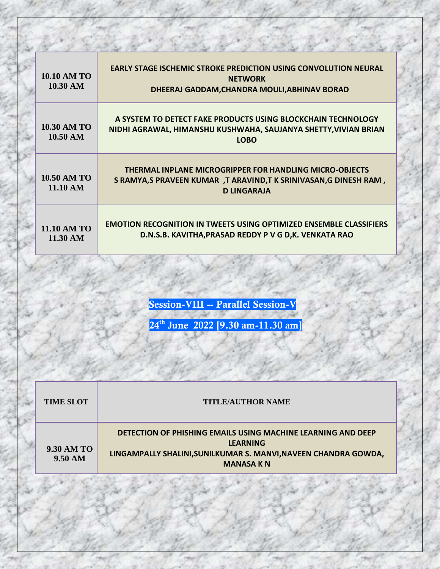| 10.10 AM TO<br>10.30 AM        | <b>EARLY STAGE ISCHEMIC STROKE PREDICTION USING CONVOLUTION NEURAL</b><br><b>NETWORK</b><br>DHEERAJ GADDAM, CHANDRA MOULI, ABHINAV BORAD                |
|--------------------------------|---------------------------------------------------------------------------------------------------------------------------------------------------------|
| <b>10.30 AM TO</b><br>10.50 AM | A SYSTEM TO DETECT FAKE PRODUCTS USING BLOCKCHAIN TECHNOLOGY<br>NIDHI AGRAWAL, HIMANSHU KUSHWAHA, SAUJANYA SHETTY, VIVIAN BRIAN<br><b>LOBO</b>          |
| 10.50 AM TO<br>11.10 AM        | <b>THERMAL INPLANE MICROGRIPPER FOR HANDLING MICRO-OBJECTS</b><br>S RAMYA,S PRAVEEN KUMAR ,T ARAVIND,T K SRINIVASAN,G DINESH RAM,<br><b>D LINGARAJA</b> |
| <b>11.10 AM TO</b><br>11.30 AM | <b>EMOTION RECOGNITION IN TWEETS USING OPTIMIZED ENSEMBLE CLASSIFIERS</b><br>D.N.S.B. KAVITHA, PRASAD REDDY P V G D, K. VENKATA RAO                     |

**Session-VIII -- Parallel Session-V**

| <b>TIME SLOT</b>                       | <b>TITLE/AUTHOR NAME</b>                                                                                                                                                      |
|----------------------------------------|-------------------------------------------------------------------------------------------------------------------------------------------------------------------------------|
| <b>9.30 AM TO</b><br>$9.50 \text{ AM}$ | <b>DETECTION OF PHISHING EMAILS USING MACHINE LEARNING AND DEEP</b><br><b>LEARNING</b><br>LINGAMPALLY SHALINI, SUNILKUMAR S. MANVI, NAVEEN CHANDRA GOWDA,<br><b>MANASA KN</b> |
|                                        |                                                                                                                                                                               |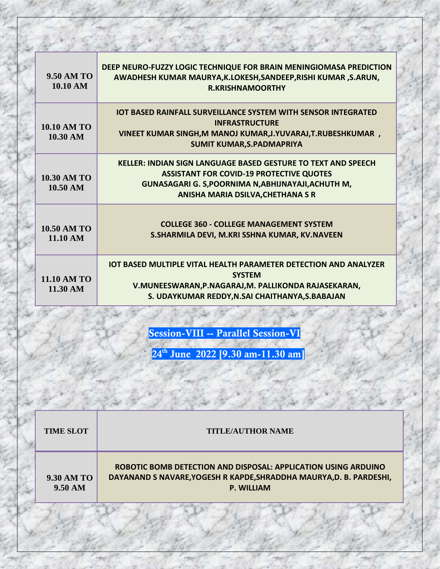| <b>9.50 AM TO</b><br>10.10 AM            | DEEP NEURO-FUZZY LOGIC TECHNIQUE FOR BRAIN MENINGIOMASA PREDICTION<br>AWADHESH KUMAR MAURYA, K.LOKESH, SANDEEP, RISHI KUMAR, S.ARUN,<br><b>R.KRISHNAMOORTHY</b>                                                     |
|------------------------------------------|---------------------------------------------------------------------------------------------------------------------------------------------------------------------------------------------------------------------|
| <b>10.10 AM TO</b><br>10.30 AM           | <b>IOT BASED RAINFALL SURVEILLANCE SYSTEM WITH SENSOR INTEGRATED</b><br><b>INFRASTRUCTURE</b><br>VINEET KUMAR SINGH, M MANOJ KUMAR, J. YUVARAJ, T. RUBESHKUMAR,<br><b>SUMIT KUMAR, S. PADMAPRIYA</b>                |
| <b>10.30 AM TO</b><br>10.50 AM           | <b>KELLER: INDIAN SIGN LANGUAGE BASED GESTURE TO TEXT AND SPEECH</b><br><b>ASSISTANT FOR COVID-19 PROTECTIVE QUOTES</b><br>GUNASAGARI G. S, POORNIMA N, ABHIJNAYAJI, ACHUTH M,<br>ANISHA MARIA DSILVA, CHETHANA S R |
| <b>10.50 AM TO</b><br>11.10 AM           | <b>COLLEGE 360 - COLLEGE MANAGEMENT SYSTEM</b><br>S.SHARMILA DEVI, M.KRI SSHNA KUMAR, KV.NAVEEN                                                                                                                     |
| <b>11.10 AM TO</b><br>$11.30 \text{ AM}$ | <b>IOT BASED MULTIPLE VITAL HEALTH PARAMETER DETECTION AND ANALYZER</b><br><b>SYSTEM</b><br>V.MUNEESWARAN, P.NAGARAJ, M. PALLIKONDA RAJASEKARAN,<br>S. UDAYKUMAR REDDY, N.SAI CHAITHANYA, S.BABAJAN                 |

**Session-VIII -- Parallel Session-VI**

| <b>TIME SLOT</b>                       | <b>TITLE/AUTHOR NAME</b>                                                                                                                                   |
|----------------------------------------|------------------------------------------------------------------------------------------------------------------------------------------------------------|
| <b>9.30 AM TO</b><br>$9.50 \text{ AM}$ | ROBOTIC BOMB DETECTION AND DISPOSAL: APPLICATION USING ARDUINO<br>DAYANAND S NAVARE, YOGESH R KAPDE, SHRADDHA MAURYA, D. B. PARDESHI,<br><b>P. WILLIAM</b> |